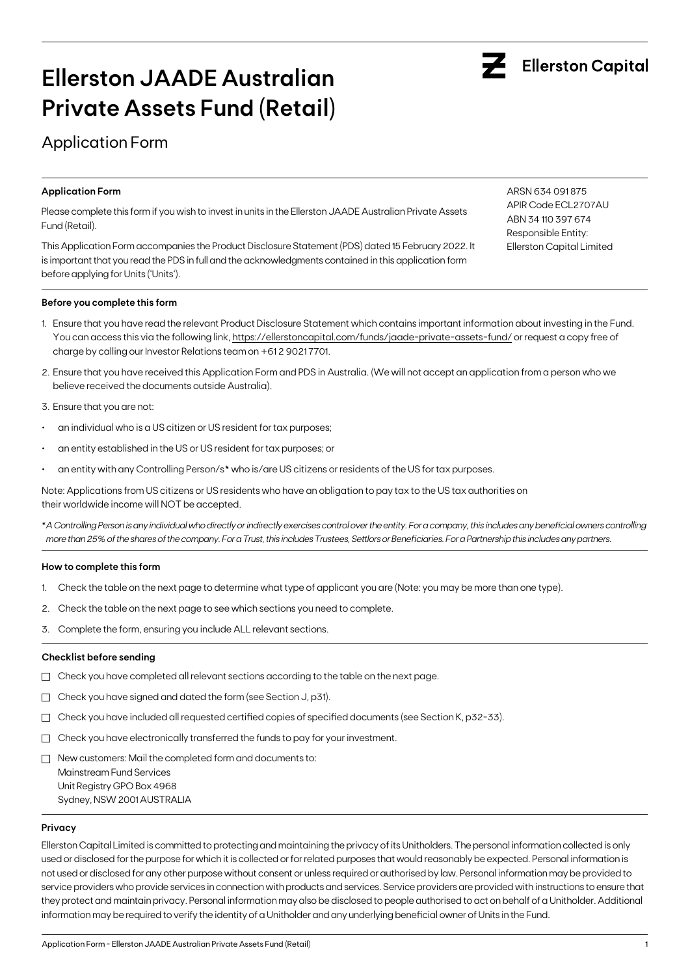# Application Form

#### **Application Form**

Please complete this form if you wish to invest in units in the Ellerston JAADE Australian Private Assets Fund (Retail).

This Application Form accompanies the Product Disclosure Statement (PDS) dated 15 February 2022. It is important that you read the PDS in full and the acknowledgments contained in this application form before applying for Units ('Units').

#### **Before you complete this form**

- 1. Ensure that you have read the relevant Product Disclosure Statement which contains important information about investing in the Fund. You can access this via the following link, https://ellerstoncapital.com/funds/jaade-private-assets-fund/ or request a copy free of charge by calling our Investor Relations team on +61 2 9021 7701.
- 2. Ensure that you have received this Application Form and PDS in Australia. (We will not accept an application from a person who we believe received the documents outside Australia).
- 3. Ensure that you are not:
- an individual who is a US citizen or US resident for tax purposes;
- an entity established in the US or US resident for tax purposes; or
- an entity with any Controlling Person/s\* who is/are US citizens or residents of the US for tax purposes.

Note: Applications from US citizens or US residents who have an obligation to pay tax to the US tax authorities on their worldwide income will NOT be accepted.

\**A Controlling Person is any individual who directly or indirectly exercises control over the entity. For a company, this includes any beneficial owners controlling more than 25% of the shares of the company. For a Trust, this includes Trustees, Settlors or Beneficiaries. For a Partnership this includes any partners.*

#### **How to complete this form**

- 1. Check the table on the next page to determine what type of applicant you are (Note: you may be more than one type).
- 2. Check the table on the next page to see which sections you need to complete.
- 3. Complete the form, ensuring you include ALL relevant sections.

#### **Checklist before sending**

- $\Box$  Check you have completed all relevant sections according to the table on the next page.
- Check you have signed and dated the form (see Section J, p31).
- $\Box$  Check you have included all requested certified copies of specified documents (see Section K, p32-33).
- $\Box$  Check you have electronically transferred the funds to pay for your investment.
- $\Box$  New customers: Mail the completed form and documents to:

Mainstream Fund Services Unit Registry GPO Box 4968 Sydney, NSW 2001 AUSTRALIA

#### **Privacy**

Ellerston Capital Limited is committed to protecting and maintaining the privacy of its Unitholders. The personal information collected is only used or disclosed for the purpose for which it is collected or for related purposes that would reasonably be expected. Personal information is not used or disclosed for any other purpose without consent or unless required or authorised by law. Personal information may be provided to service providers who provide services in connection with products and services. Service providers are provided with instructions to ensure that they protect and maintain privacy. Personal information may also be disclosed to people authorised to act on behalf of a Unitholder. Additional information may be required to verify the identity of a Unitholder and any underlying beneficial owner of Units in the Fund.



ARSN 634 091 875 APIR Code ECL2707AU ABN 34 110 397 674 Responsible Entity: Ellerston Capital Limited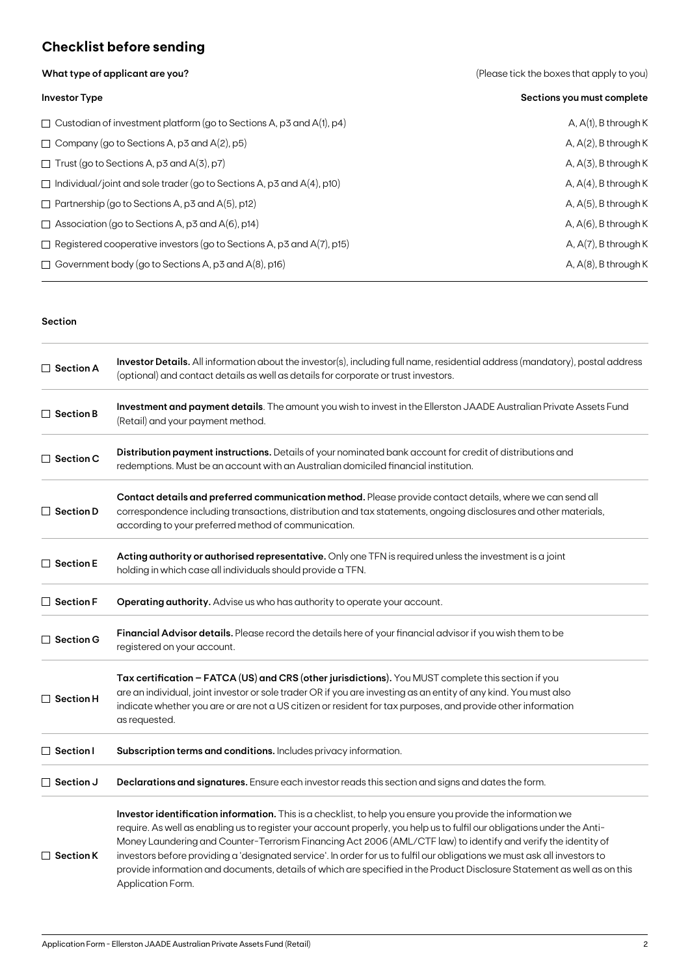## **Checklist before sending**

**What type of applicant are you?** 

|  |  | (Please tick the boxes that apply to you) |  |  |  |
|--|--|-------------------------------------------|--|--|--|
|--|--|-------------------------------------------|--|--|--|

| <b>Investor Type</b>                                                         | Sections you must complete |
|------------------------------------------------------------------------------|----------------------------|
| $\Box$ Custodian of investment platform (go to Sections A, p3 and A(1), p4)  | A, $A(1)$ , B through K    |
| $\Box$ Company (go to Sections A, p3 and A(2), p5)                           | A, $A(2)$ , B through K    |
| $\Box$ Trust (go to Sections A, p3 and A(3), p7)                             | $A, A(3)$ , B through K    |
| $\Box$ Individual/joint and sole trader (go to Sections A, p3 and A(4), p10) | A, $A(4)$ , B through K    |
| $\Box$ Partnership (go to Sections A, p3 and A(5), p12)                      | A, $A(5)$ , B through K    |
| $\Box$ Association (go to Sections A, p3 and A(6), p14)                      | A, $A(6)$ , B through K    |
| $\Box$ Registered cooperative investors (go to Sections A, p3 and A(7), p15) | A, $A(7)$ , B through K    |
| $\Box$ Government body (go to Sections A, p3 and A(8), p16)                  | A, $A(8)$ , B through K    |

#### **Section**

| Investor Details. All information about the investor(s), including full name, residential address (mandatory), postal address<br>$\Box$ Section A<br>(optional) and contact details as well as details for corporate or trust investors. |                                                                                                                                                                                                                                                                                                                                                                                                                                                                                                                                                                                                                                         |  |  |  |
|------------------------------------------------------------------------------------------------------------------------------------------------------------------------------------------------------------------------------------------|-----------------------------------------------------------------------------------------------------------------------------------------------------------------------------------------------------------------------------------------------------------------------------------------------------------------------------------------------------------------------------------------------------------------------------------------------------------------------------------------------------------------------------------------------------------------------------------------------------------------------------------------|--|--|--|
| $\Box$ Section B                                                                                                                                                                                                                         | Investment and payment details. The amount you wish to invest in the Ellerston JAADE Australian Private Assets Fund<br>(Retail) and your payment method.                                                                                                                                                                                                                                                                                                                                                                                                                                                                                |  |  |  |
| $\Box$ Section C                                                                                                                                                                                                                         | Distribution payment instructions. Details of your nominated bank account for credit of distributions and<br>redemptions. Must be an account with an Australian domiciled financial institution.                                                                                                                                                                                                                                                                                                                                                                                                                                        |  |  |  |
| $\Box$ Section D                                                                                                                                                                                                                         | Contact details and preferred communication method. Please provide contact details, where we can send all<br>correspondence including transactions, distribution and tax statements, ongoing disclosures and other materials,<br>according to your preferred method of communication.                                                                                                                                                                                                                                                                                                                                                   |  |  |  |
| $\Box$ Section E                                                                                                                                                                                                                         | Acting authority or authorised representative. Only one TFN is required unless the investment is a joint<br>holding in which case all individuals should provide a TFN.                                                                                                                                                                                                                                                                                                                                                                                                                                                                 |  |  |  |
| $\Box$ Section F                                                                                                                                                                                                                         | Operating authority. Advise us who has authority to operate your account.                                                                                                                                                                                                                                                                                                                                                                                                                                                                                                                                                               |  |  |  |
| $\Box$ Section G                                                                                                                                                                                                                         | Financial Advisor details. Please record the details here of your financial advisor if you wish them to be<br>registered on your account.                                                                                                                                                                                                                                                                                                                                                                                                                                                                                               |  |  |  |
| $\Box$ Section H                                                                                                                                                                                                                         | Tax certification - FATCA (US) and CRS (other jurisdictions). You MUST complete this section if you<br>are an individual, joint investor or sole trader OR if you are investing as an entity of any kind. You must also<br>indicate whether you are or are not a US citizen or resident for tax purposes, and provide other information<br>as requested.                                                                                                                                                                                                                                                                                |  |  |  |
| $\Box$ Section I                                                                                                                                                                                                                         | Subscription terms and conditions. Includes privacy information.                                                                                                                                                                                                                                                                                                                                                                                                                                                                                                                                                                        |  |  |  |
| $\Box$ Section J                                                                                                                                                                                                                         | Declarations and signatures. Ensure each investor reads this section and signs and dates the form.                                                                                                                                                                                                                                                                                                                                                                                                                                                                                                                                      |  |  |  |
| $\Box$ Section K                                                                                                                                                                                                                         | Investor identification information. This is a checklist, to help you ensure you provide the information we<br>require. As well as enabling us to register your account properly, you help us to fulfil our obligations under the Anti-<br>Money Laundering and Counter-Terrorism Financing Act 2006 (AML/CTF law) to identify and verify the identity of<br>investors before providing a 'designated service'. In order for us to fulfil our obligations we must ask all investors to<br>provide information and documents, details of which are specified in the Product Disclosure Statement as well as on this<br>Application Form. |  |  |  |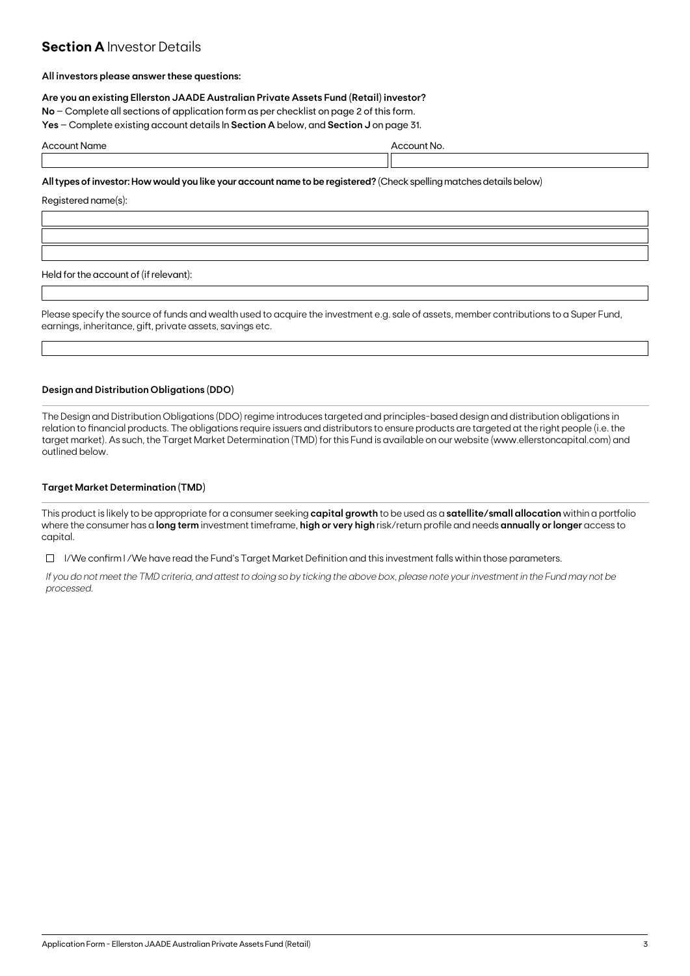## **Section A Investor Details**

#### **All investors please answer these questions:**

**Are you an existing Ellerston JAADE Australian Private Assets Fund (Retail) investor?**

**No** – Complete all sections of application form as per checklist on page 2 of this form.

**Yes** – Complete existing account details In **Section A** below, and **Section J** on page 31.

| $\Delta$ r | . |  |
|------------|---|--|
|            |   |  |

**All types of investor: How would you like your account name to be registered?** (Check spelling matches details below)

Registered name(s):

Held for the account of (if relevant):

Please specify the source of funds and wealth used to acquire the investment e.g. sale of assets, member contributions to a Super Fund, earnings, inheritance, gift, private assets, savings etc.

#### **Design and Distribution Obligations (DDO)**

The Design and Distribution Obligations (DDO) regime introduces targeted and principles-based design and distribution obligations in relation to financial products. The obligations require issuers and distributors to ensure products are targeted at the right people (i.e. the target market). As such, the Target Market Determination (TMD) for this Fund is available on our website (www.ellerstoncapital.com) and outlined below.

#### **Target Market Determination (TMD)**

This product is likely to be appropriate for a consumer seeking **capital growth** to be used as a **satellite/small allocation** within a portfolio where the consumer has a **long term** investment timeframe, **high or very high** risk/return profile and needs **annually or longer** access to capital.

 $\Box$  I/We confirm I/We have read the Fund's Target Market Definition and this investment falls within those parameters.

*If you do not meet the TMD criteria, and attest to doing so by ticking the above box, please note your investment in the Fund may not be processed.*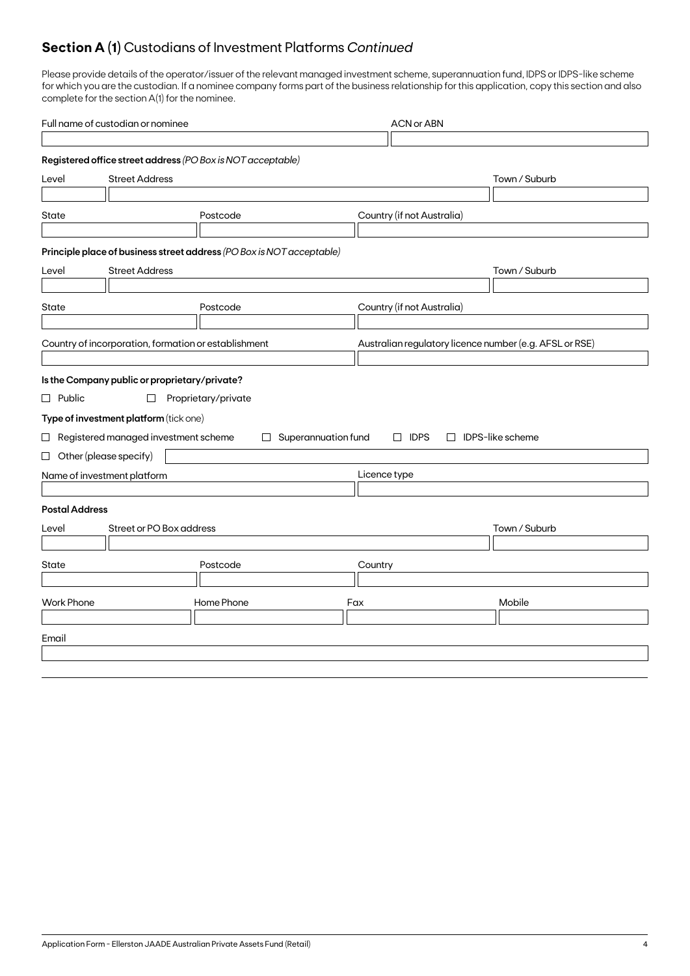## **Section A (1)** Custodians of Investment Platforms *Continued*

Please provide details of the operator/issuer of the relevant managed investment scheme, superannuation fund, IDPS or IDPS-like scheme for which you are the custodian. If a nominee company forms part of the business relationship for this application, copy this section and also complete for the section A(1) for the nominee.

| Full name of custodian or nominee |                                                      |                                                                       | <b>ACN or ABN</b>                                       |                         |  |  |  |  |
|-----------------------------------|------------------------------------------------------|-----------------------------------------------------------------------|---------------------------------------------------------|-------------------------|--|--|--|--|
|                                   |                                                      |                                                                       |                                                         |                         |  |  |  |  |
|                                   |                                                      | Registered office street address (PO Box is NOT acceptable)           |                                                         |                         |  |  |  |  |
| Level                             | <b>Street Address</b>                                |                                                                       | Town / Suburb                                           |                         |  |  |  |  |
|                                   |                                                      |                                                                       |                                                         |                         |  |  |  |  |
| State                             |                                                      | Postcode                                                              | Country (if not Australia)                              |                         |  |  |  |  |
|                                   |                                                      |                                                                       |                                                         |                         |  |  |  |  |
|                                   |                                                      | Principle place of business street address (PO Box is NOT acceptable) |                                                         |                         |  |  |  |  |
| Level                             | <b>Street Address</b>                                |                                                                       |                                                         | Town / Suburb           |  |  |  |  |
|                                   |                                                      |                                                                       |                                                         |                         |  |  |  |  |
| State                             |                                                      | Postcode                                                              | Country (if not Australia)                              |                         |  |  |  |  |
|                                   |                                                      |                                                                       |                                                         |                         |  |  |  |  |
|                                   | Country of incorporation, formation or establishment |                                                                       | Australian regulatory licence number (e.g. AFSL or RSE) |                         |  |  |  |  |
|                                   |                                                      |                                                                       |                                                         |                         |  |  |  |  |
|                                   | Is the Company public or proprietary/private?        |                                                                       |                                                         |                         |  |  |  |  |
| $\Box$ Public                     | $\Box$                                               | Proprietary/private                                                   |                                                         |                         |  |  |  |  |
|                                   | Type of investment platform (tick one)               |                                                                       |                                                         |                         |  |  |  |  |
|                                   | $\Box$ Registered managed investment scheme          | Superannuation fund<br>$\Box$                                         | $\Box$ IDPS                                             | $\Box$ IDPS-like scheme |  |  |  |  |
| $\Box$ Other (please specify)     |                                                      |                                                                       |                                                         |                         |  |  |  |  |
|                                   | Name of investment platform                          |                                                                       | Licence type                                            |                         |  |  |  |  |
|                                   |                                                      |                                                                       |                                                         |                         |  |  |  |  |
| <b>Postal Address</b>             |                                                      |                                                                       |                                                         |                         |  |  |  |  |
| Level                             | Street or PO Box address                             |                                                                       |                                                         | Town / Suburb           |  |  |  |  |
|                                   |                                                      |                                                                       |                                                         |                         |  |  |  |  |
| State<br>Postcode                 |                                                      | Country                                                               |                                                         |                         |  |  |  |  |
|                                   |                                                      |                                                                       |                                                         |                         |  |  |  |  |
| <b>Work Phone</b>                 |                                                      | Home Phone                                                            | Fax                                                     | Mobile                  |  |  |  |  |
|                                   |                                                      |                                                                       |                                                         |                         |  |  |  |  |
| Email                             |                                                      |                                                                       |                                                         |                         |  |  |  |  |
|                                   |                                                      |                                                                       |                                                         |                         |  |  |  |  |
|                                   |                                                      |                                                                       |                                                         |                         |  |  |  |  |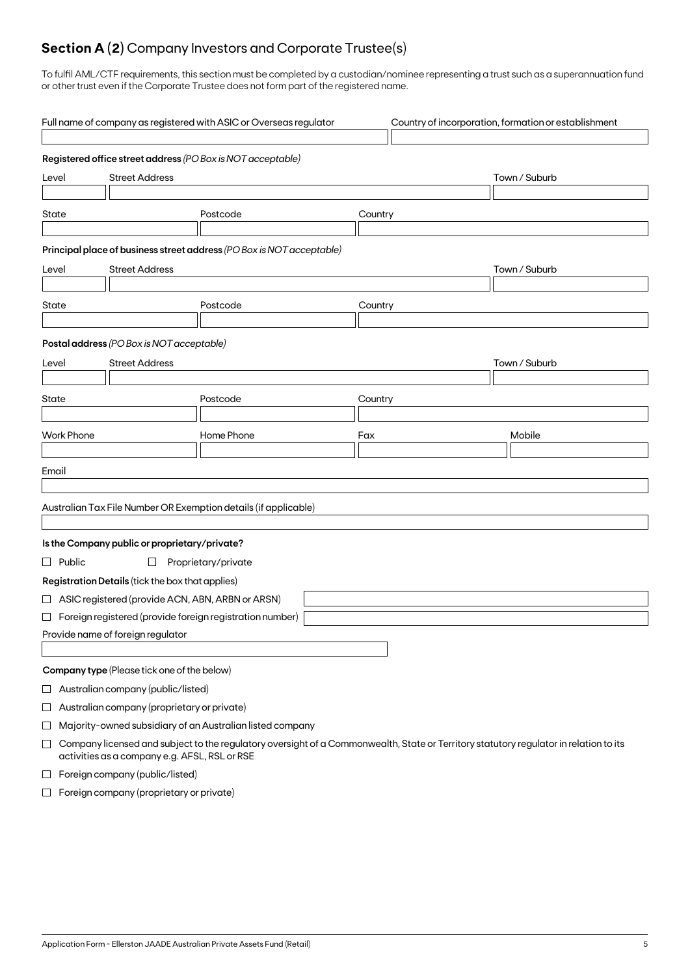## **Section A (2)** Company Investors and Corporate Trustee(s)

To fulfil AML/CTF requirements, this section must be completed by a custodian/nominee representing a trust such as a superannuation fund or other trust even if the Corporate Trustee does not form part of the registered name.

|                                | Full name of company as registered with ASIC or Overseas regulator<br>Country of incorporation, formation or establishment                                                             |                                                    |                                                                       |         |               |  |  |
|--------------------------------|----------------------------------------------------------------------------------------------------------------------------------------------------------------------------------------|----------------------------------------------------|-----------------------------------------------------------------------|---------|---------------|--|--|
|                                |                                                                                                                                                                                        |                                                    | Registered office street address (PO Box is NOT acceptable)           |         |               |  |  |
| <b>Street Address</b><br>Level |                                                                                                                                                                                        |                                                    |                                                                       |         | Town / Suburb |  |  |
|                                |                                                                                                                                                                                        |                                                    |                                                                       |         |               |  |  |
| State                          |                                                                                                                                                                                        |                                                    | Postcode                                                              | Country |               |  |  |
|                                |                                                                                                                                                                                        |                                                    | Principal place of business street address (PO Box is NOT acceptable) |         |               |  |  |
| Level                          |                                                                                                                                                                                        | <b>Street Address</b>                              |                                                                       |         | Town / Suburb |  |  |
|                                |                                                                                                                                                                                        |                                                    |                                                                       |         |               |  |  |
| State                          |                                                                                                                                                                                        |                                                    | Postcode                                                              | Country |               |  |  |
|                                |                                                                                                                                                                                        |                                                    |                                                                       |         |               |  |  |
|                                |                                                                                                                                                                                        | Postal address (PO Box is NOT acceptable)          |                                                                       |         |               |  |  |
| Level                          |                                                                                                                                                                                        | <b>Street Address</b>                              |                                                                       |         | Town / Suburb |  |  |
|                                |                                                                                                                                                                                        |                                                    |                                                                       |         |               |  |  |
| State                          |                                                                                                                                                                                        |                                                    | Postcode                                                              | Country |               |  |  |
|                                |                                                                                                                                                                                        |                                                    |                                                                       |         |               |  |  |
|                                | <b>Work Phone</b>                                                                                                                                                                      |                                                    | Home Phone                                                            | Fax     | Mobile        |  |  |
|                                |                                                                                                                                                                                        |                                                    |                                                                       |         |               |  |  |
| Email                          |                                                                                                                                                                                        |                                                    |                                                                       |         |               |  |  |
|                                |                                                                                                                                                                                        |                                                    |                                                                       |         |               |  |  |
|                                |                                                                                                                                                                                        |                                                    | Australian Tax File Number OR Exemption details (if applicable)       |         |               |  |  |
|                                |                                                                                                                                                                                        | Is the Company public or proprietary/private?      |                                                                       |         |               |  |  |
|                                | $\Box$ Public                                                                                                                                                                          | $\Box$                                             | Proprietary/private                                                   |         |               |  |  |
|                                |                                                                                                                                                                                        | Registration Details (tick the box that applies)   |                                                                       |         |               |  |  |
|                                |                                                                                                                                                                                        | □ ASIC registered (provide ACN, ABN, ARBN or ARSN) |                                                                       |         |               |  |  |
|                                |                                                                                                                                                                                        |                                                    | $\Box$ Foreign registered (provide foreign registration number)       |         |               |  |  |
|                                |                                                                                                                                                                                        | Provide name of foreign regulator                  |                                                                       |         |               |  |  |
|                                |                                                                                                                                                                                        |                                                    |                                                                       |         |               |  |  |
|                                |                                                                                                                                                                                        | Company type (Please tick one of the below)        |                                                                       |         |               |  |  |
| $\sqcup$                       |                                                                                                                                                                                        | Australian company (public/listed)                 |                                                                       |         |               |  |  |
| $\Box$                         |                                                                                                                                                                                        | Australian company (proprietary or private)        |                                                                       |         |               |  |  |
| ⊔                              |                                                                                                                                                                                        |                                                    | Majority-owned subsidiary of an Australian listed company             |         |               |  |  |
| $\Box$                         | Company licensed and subject to the regulatory oversight of a Commonwealth, State or Territory statutory regulator in relation to its<br>activities as a company e.g. AFSL, RSL or RSE |                                                    |                                                                       |         |               |  |  |
| $\mathbb{R}^n$                 |                                                                                                                                                                                        | Foreign company (public/listed)                    |                                                                       |         |               |  |  |

 $\Box$  Foreign company (proprietary or private)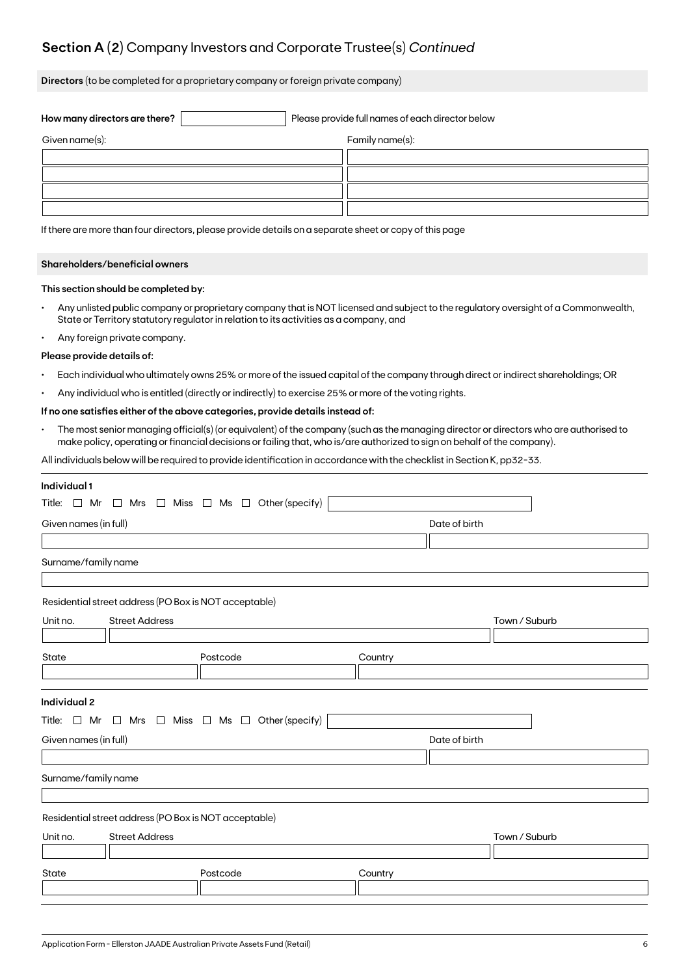## **Section A (2)** Company Investors and Corporate Trustee(s) *Continued*

**Directors** (to be completed for a proprietary company or foreign private company)

| How many directors are there? |  | Please provide full names of each director below |  |  |
|-------------------------------|--|--------------------------------------------------|--|--|
| Given name(s):                |  | Family name(s):                                  |  |  |
|                               |  |                                                  |  |  |
|                               |  |                                                  |  |  |
|                               |  |                                                  |  |  |
|                               |  |                                                  |  |  |

If there are more than four directors, please provide details on a separate sheet or copy of this page

#### **Shareholders/beneficial owners**

#### **This section should be completed by:**

- Any unlisted public company or proprietary company that is NOT licensed and subject to the regulatory oversight of a Commonwealth, State or Territory statutory regulator in relation to its activities as a company, and
- Any foreign private company.

#### **Please provide details of:**

- Each individual who ultimately owns 25% or more of the issued capital of the company through direct or indirect shareholdings; OR
- Any individual who is entitled (directly or indirectly) to exercise 25% or more of the voting rights.

#### **If no one satisfies either of the above categories, provide details instead of:**

• The most senior managing official(s) (or equivalent) of the company (such as the managing director or directors who are authorised to make policy, operating or financial decisions or failing that, who is/are authorized to sign on behalf of the company).

All individuals below will be required to provide identification in accordance with the checklist in Section K, pp32-33.

| Individual 1                                                             |          |         |               |               |  |  |  |
|--------------------------------------------------------------------------|----------|---------|---------------|---------------|--|--|--|
| Title: $\Box$ Mr $\Box$ Mrs $\Box$ Miss $\Box$ Ms $\Box$ Other (specify) |          |         |               |               |  |  |  |
| Given names (in full)<br>Date of birth                                   |          |         |               |               |  |  |  |
|                                                                          |          |         |               |               |  |  |  |
| Surname/family name                                                      |          |         |               |               |  |  |  |
|                                                                          |          |         |               |               |  |  |  |
| Residential street address (PO Box is NOT acceptable)                    |          |         |               |               |  |  |  |
| <b>Street Address</b><br>Unit no.                                        |          |         |               | Town / Suburb |  |  |  |
|                                                                          |          |         |               |               |  |  |  |
| State                                                                    | Postcode | Country |               |               |  |  |  |
|                                                                          |          |         |               |               |  |  |  |
|                                                                          |          |         |               |               |  |  |  |
| <b>Individual 2</b>                                                      |          |         |               |               |  |  |  |
| Title: $\Box$ Mr $\Box$ Mrs $\Box$ Miss $\Box$ Ms $\Box$ Other (specify) |          |         |               |               |  |  |  |
| Given names (in full)                                                    |          |         | Date of birth |               |  |  |  |
|                                                                          |          |         |               |               |  |  |  |
| Surname/family name                                                      |          |         |               |               |  |  |  |
|                                                                          |          |         |               |               |  |  |  |
| Residential street address (PO Box is NOT acceptable)                    |          |         |               |               |  |  |  |
| <b>Street Address</b><br>Unit no.                                        |          |         |               | Town / Suburb |  |  |  |
|                                                                          |          |         |               |               |  |  |  |
| State                                                                    | Postcode | Country |               |               |  |  |  |
|                                                                          |          |         |               |               |  |  |  |
|                                                                          |          |         |               |               |  |  |  |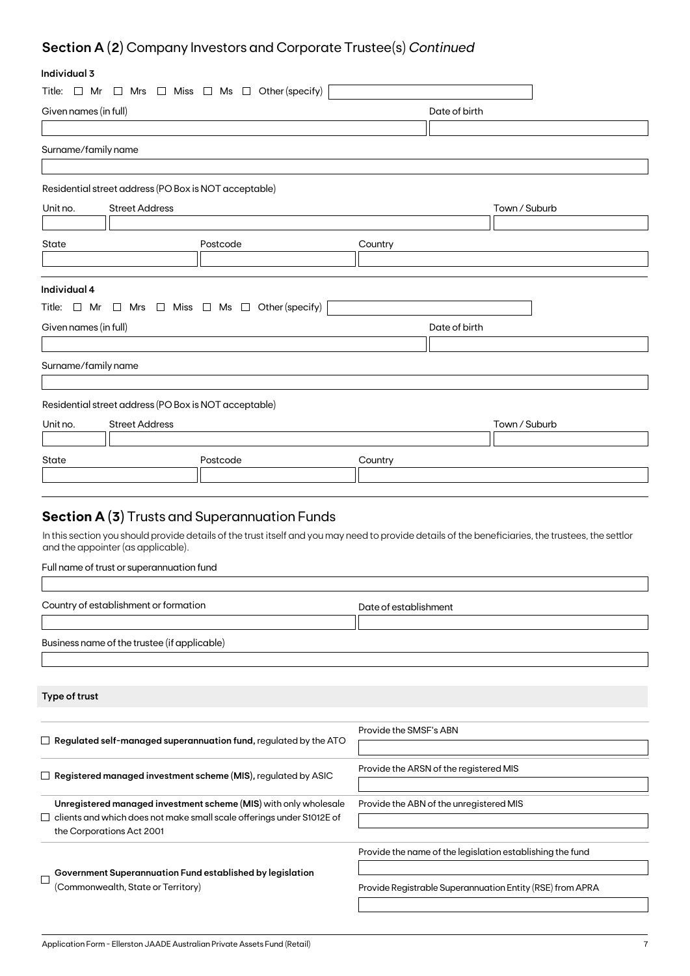# **Section A (2)** Company Investors and Corporate Trustee(s) *Continued*

## **Individual 3**

| ınaıvıauai ə          |                                                       |                                                                                    |                        |                                                                                                                                                    |  |
|-----------------------|-------------------------------------------------------|------------------------------------------------------------------------------------|------------------------|----------------------------------------------------------------------------------------------------------------------------------------------------|--|
| Title: $\Box$ Mr      |                                                       | $\Box$ Mrs $\Box$ Miss $\Box$ Ms $\Box$ Other (specify)                            |                        |                                                                                                                                                    |  |
| Given names (in full) |                                                       |                                                                                    | Date of birth          |                                                                                                                                                    |  |
|                       |                                                       |                                                                                    |                        |                                                                                                                                                    |  |
| Surname/family name   |                                                       |                                                                                    |                        |                                                                                                                                                    |  |
|                       |                                                       |                                                                                    |                        |                                                                                                                                                    |  |
|                       | Residential street address (PO Box is NOT acceptable) |                                                                                    |                        |                                                                                                                                                    |  |
| Unit no.              | <b>Street Address</b>                                 |                                                                                    |                        | Town / Suburb                                                                                                                                      |  |
|                       |                                                       |                                                                                    |                        |                                                                                                                                                    |  |
| State                 |                                                       | Postcode                                                                           | Country                |                                                                                                                                                    |  |
|                       |                                                       |                                                                                    |                        |                                                                                                                                                    |  |
|                       |                                                       |                                                                                    |                        |                                                                                                                                                    |  |
| Individual 4          |                                                       |                                                                                    |                        |                                                                                                                                                    |  |
|                       |                                                       | Title: $\Box$ Mr $\Box$ Mrs $\Box$ Miss $\Box$ Ms $\Box$ Other (specify)           |                        |                                                                                                                                                    |  |
| Given names (in full) |                                                       |                                                                                    |                        | Date of birth                                                                                                                                      |  |
|                       |                                                       |                                                                                    |                        |                                                                                                                                                    |  |
| Surname/family name   |                                                       |                                                                                    |                        |                                                                                                                                                    |  |
|                       |                                                       |                                                                                    |                        |                                                                                                                                                    |  |
|                       | Residential street address (PO Box is NOT acceptable) |                                                                                    |                        |                                                                                                                                                    |  |
| Unit no.              | <b>Street Address</b>                                 |                                                                                    |                        | Town / Suburb                                                                                                                                      |  |
|                       |                                                       |                                                                                    |                        |                                                                                                                                                    |  |
| State                 |                                                       | Postcode                                                                           | Country                |                                                                                                                                                    |  |
|                       |                                                       |                                                                                    |                        |                                                                                                                                                    |  |
|                       |                                                       |                                                                                    |                        |                                                                                                                                                    |  |
|                       |                                                       | <b>Section A (3)</b> Trusts and Superannuation Funds                               |                        |                                                                                                                                                    |  |
|                       |                                                       |                                                                                    |                        |                                                                                                                                                    |  |
|                       | and the appointer (as applicable).                    |                                                                                    |                        | In this section you should provide details of the trust itself and you may need to provide details of the beneficiaries, the trustees, the settlor |  |
|                       | Full name of trust or superannuation fund             |                                                                                    |                        |                                                                                                                                                    |  |
|                       |                                                       |                                                                                    |                        |                                                                                                                                                    |  |
|                       | Country of establishment or formation                 |                                                                                    | Date of establishment  |                                                                                                                                                    |  |
|                       |                                                       |                                                                                    |                        |                                                                                                                                                    |  |
|                       | Business name of the trustee (if applicable)          |                                                                                    |                        |                                                                                                                                                    |  |
|                       |                                                       |                                                                                    |                        |                                                                                                                                                    |  |
|                       |                                                       |                                                                                    |                        |                                                                                                                                                    |  |
| Type of trust         |                                                       |                                                                                    |                        |                                                                                                                                                    |  |
|                       |                                                       |                                                                                    |                        |                                                                                                                                                    |  |
|                       |                                                       |                                                                                    | Provide the SMSF's ABN |                                                                                                                                                    |  |
|                       |                                                       | $\Box~$ Regulated self-managed superannuation fund, regulated by the ATO           |                        |                                                                                                                                                    |  |
|                       |                                                       |                                                                                    |                        | Provide the ARSN of the registered MIS                                                                                                             |  |
|                       |                                                       | $\Box$ Registered managed investment scheme (MIS), regulated by ASIC               |                        |                                                                                                                                                    |  |
|                       |                                                       | Unregistered managed investment scheme (MIS) with only wholesale                   |                        | Provide the ABN of the unregistered MIS                                                                                                            |  |
|                       |                                                       | clients and which does not make small scale offerings under S1012E of              |                        |                                                                                                                                                    |  |
|                       | the Corporations Act 2001                             |                                                                                    |                        |                                                                                                                                                    |  |
|                       |                                                       |                                                                                    |                        | Provide the name of the legislation establishing the fund                                                                                          |  |
|                       |                                                       | $\overline{\phantom{x}}$ Government Superannuation Fund established by legislation |                        |                                                                                                                                                    |  |

Provide Registrable Superannuation Entity (RSE) from APRA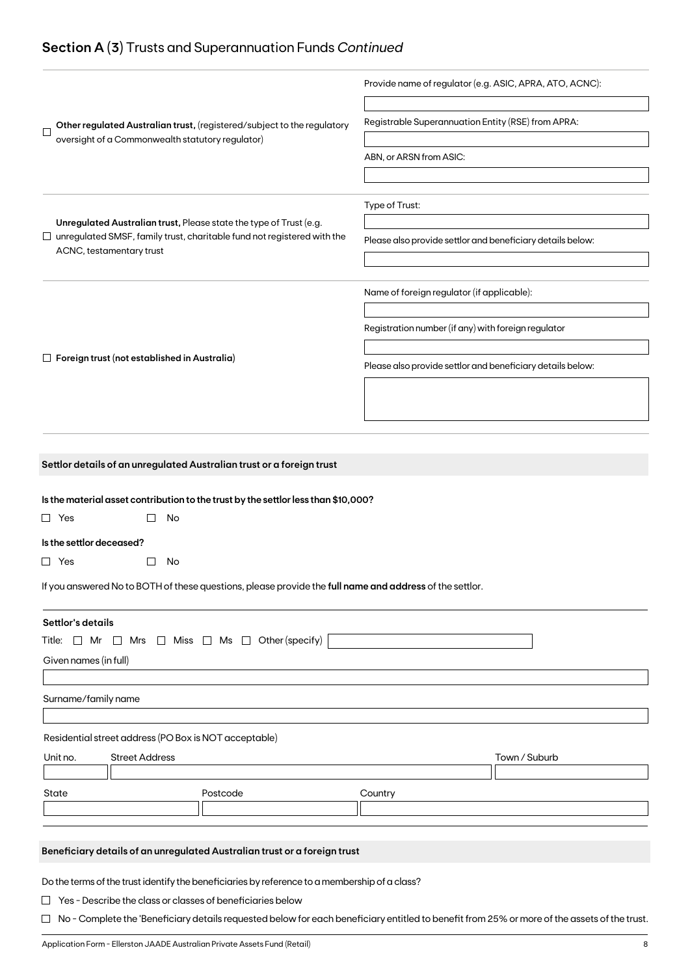## **Section A (3)** Trusts and Superannuation Funds *Continued*

|                                                                                                                                                             | Provide name of regulator (e.g. ASIC, APRA, ATO, ACNC):    |  |  |
|-------------------------------------------------------------------------------------------------------------------------------------------------------------|------------------------------------------------------------|--|--|
| Other regulated Australian trust, (registered/subject to the regulatory<br>$\Box$                                                                           | Registrable Superannuation Entity (RSE) from APRA:         |  |  |
| oversight of a Commonwealth statutory regulator)                                                                                                            |                                                            |  |  |
|                                                                                                                                                             | ABN, or ARSN from ASIC:                                    |  |  |
|                                                                                                                                                             |                                                            |  |  |
|                                                                                                                                                             | Type of Trust:                                             |  |  |
| Unregulated Australian trust, Please state the type of Trust (e.g.<br>$\Box$ unregulated SMSF, family trust, charitable fund not registered with the        | Please also provide settlor and beneficiary details below: |  |  |
| ACNC, testamentary trust                                                                                                                                    |                                                            |  |  |
|                                                                                                                                                             |                                                            |  |  |
|                                                                                                                                                             | Name of foreign regulator (if applicable):                 |  |  |
|                                                                                                                                                             | Registration number (if any) with foreign regulator        |  |  |
|                                                                                                                                                             |                                                            |  |  |
| $\Box$ Foreign trust (not established in Australia)                                                                                                         | Please also provide settlor and beneficiary details below: |  |  |
|                                                                                                                                                             |                                                            |  |  |
|                                                                                                                                                             |                                                            |  |  |
|                                                                                                                                                             |                                                            |  |  |
|                                                                                                                                                             |                                                            |  |  |
| Settlor details of an unregulated Australian trust or a foreign trust                                                                                       |                                                            |  |  |
|                                                                                                                                                             |                                                            |  |  |
| Is the material asset contribution to the trust by the settlor less than \$10,000?                                                                          |                                                            |  |  |
| No<br>$\Box$ Yes                                                                                                                                            |                                                            |  |  |
| Is the settlor deceased?                                                                                                                                    |                                                            |  |  |
| $\Box$ Yes<br>No<br>$\Box$                                                                                                                                  |                                                            |  |  |
| If you answered No to BOTH of these questions, please provide the full name and address of the settlor.                                                     |                                                            |  |  |
| Settlor's details                                                                                                                                           |                                                            |  |  |
| $\Box$ Miss $\Box$ Ms $\Box$ Other (specify)<br>Title: □ Mr<br>Mrs<br>$\Box$                                                                                |                                                            |  |  |
| Given names (in full)                                                                                                                                       |                                                            |  |  |
|                                                                                                                                                             |                                                            |  |  |
| Surname/family name                                                                                                                                         |                                                            |  |  |
|                                                                                                                                                             |                                                            |  |  |
| Residential street address (PO Box is NOT acceptable)                                                                                                       |                                                            |  |  |
| Unit no.<br><b>Street Address</b>                                                                                                                           | Town / Suburb                                              |  |  |
| State<br>Postcode                                                                                                                                           | Country                                                    |  |  |
|                                                                                                                                                             |                                                            |  |  |
|                                                                                                                                                             |                                                            |  |  |
| Beneficiary details of an unregulated Australian trust or a foreign trust                                                                                   |                                                            |  |  |
|                                                                                                                                                             |                                                            |  |  |
|                                                                                                                                                             |                                                            |  |  |
| Do the terms of the trust identify the beneficiaries by reference to a membership of a class?<br>Yes - Describe the class or classes of beneficiaries below |                                                            |  |  |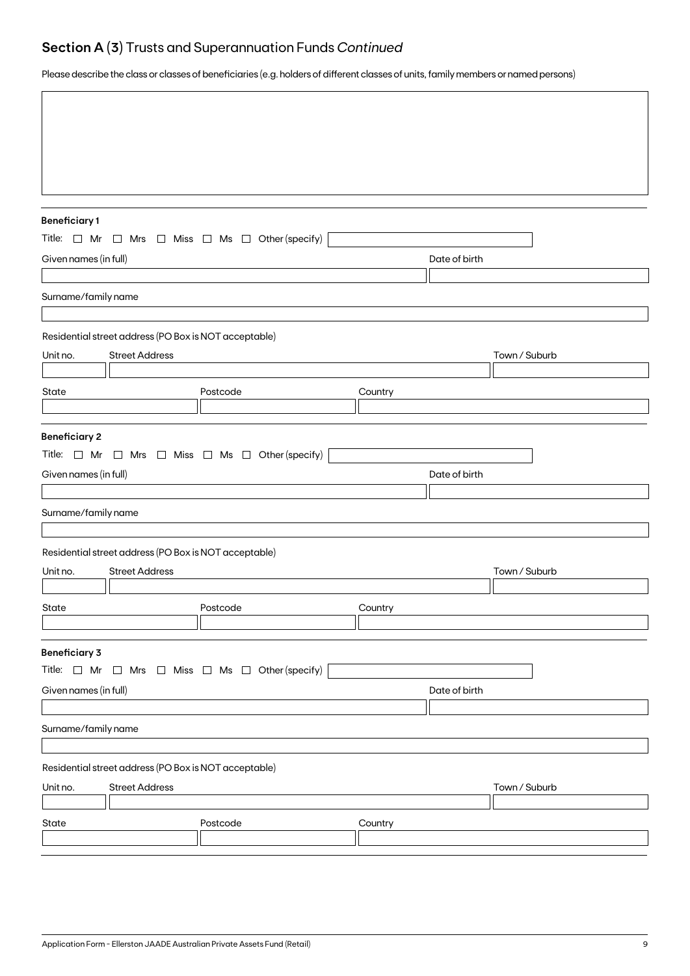## **Section A (3)** Trusts and Superannuation Funds *Continued*

Please describe the class or classes of beneficiaries (e.g. holders of different classes of units, family members or named persons)

| <b>Beneficiary1</b>   |                                                                          |                                                                          |         |               |               |  |  |  |
|-----------------------|--------------------------------------------------------------------------|--------------------------------------------------------------------------|---------|---------------|---------------|--|--|--|
|                       | Title: $\Box$ Mr $\Box$ Mrs $\Box$ Miss $\Box$ Ms $\Box$ Other (specify) |                                                                          |         |               |               |  |  |  |
| Given names (in full) |                                                                          |                                                                          |         | Date of birth |               |  |  |  |
|                       |                                                                          |                                                                          |         |               |               |  |  |  |
| Surname/family name   |                                                                          |                                                                          |         |               |               |  |  |  |
|                       | Residential street address (PO Box is NOT acceptable)                    |                                                                          |         |               |               |  |  |  |
| Unit no.              | <b>Street Address</b>                                                    |                                                                          |         |               | Town / Suburb |  |  |  |
|                       |                                                                          |                                                                          |         |               |               |  |  |  |
| State                 |                                                                          | Postcode                                                                 | Country |               |               |  |  |  |
|                       |                                                                          |                                                                          |         |               |               |  |  |  |
| <b>Beneficiary 2</b>  |                                                                          | Title: $\Box$ Mr $\Box$ Mrs $\Box$ Miss $\Box$ Ms $\Box$ Other (specify) |         |               |               |  |  |  |
| Given names (in full) |                                                                          |                                                                          |         | Date of birth |               |  |  |  |
|                       |                                                                          |                                                                          |         |               |               |  |  |  |
| Surname/family name   |                                                                          |                                                                          |         |               |               |  |  |  |
|                       | Residential street address (PO Box is NOT acceptable)                    |                                                                          |         |               |               |  |  |  |
| Unit no.              | <b>Street Address</b>                                                    |                                                                          |         |               | Town / Suburb |  |  |  |
|                       |                                                                          |                                                                          |         |               |               |  |  |  |
| State                 |                                                                          | Postcode                                                                 | Country |               |               |  |  |  |
|                       |                                                                          |                                                                          |         |               |               |  |  |  |
| <b>Beneficiary 3</b>  |                                                                          |                                                                          |         |               |               |  |  |  |
|                       |                                                                          | Title: $\Box$ Mr $\Box$ Mrs $\Box$ Miss $\Box$ Ms $\Box$ Other (specify) |         |               |               |  |  |  |
| Given names (in full) |                                                                          |                                                                          |         | Date of birth |               |  |  |  |
| Surname/family name   |                                                                          |                                                                          |         |               |               |  |  |  |
|                       |                                                                          |                                                                          |         |               |               |  |  |  |
|                       | Residential street address (PO Box is NOT acceptable)                    |                                                                          |         |               |               |  |  |  |
| Unit no.              | <b>Street Address</b>                                                    |                                                                          |         |               | Town / Suburb |  |  |  |
| State                 |                                                                          | Postcode                                                                 | Country |               |               |  |  |  |
|                       |                                                                          |                                                                          |         |               |               |  |  |  |
|                       |                                                                          |                                                                          |         |               |               |  |  |  |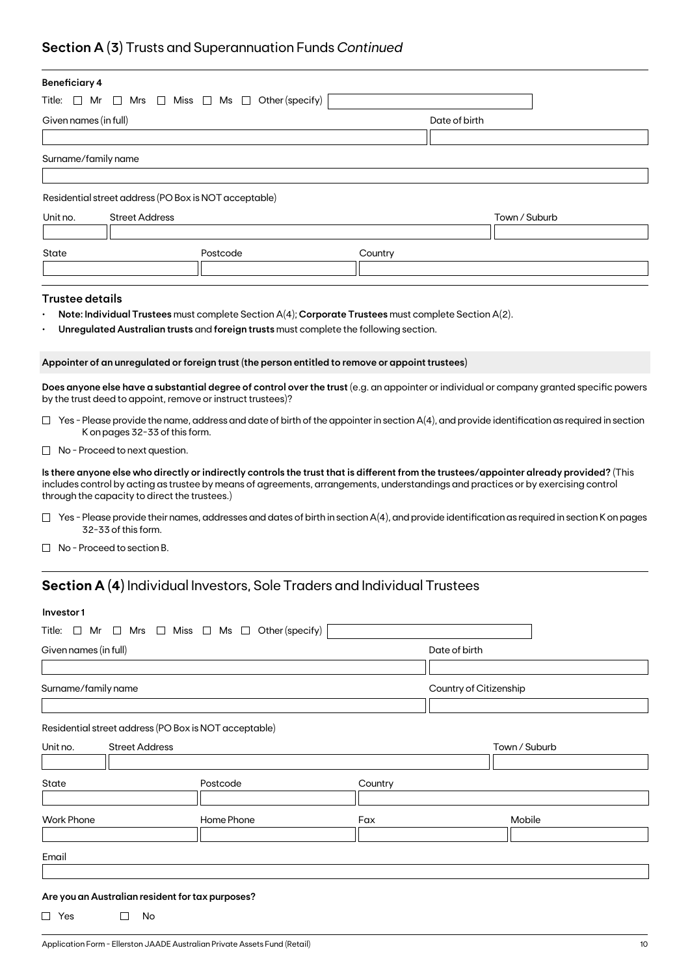## **Section A (3)** Trusts and Superannuation Funds *Continued*

| <b>Beneficiary 4</b>                                                           |                                                                                                                                                                                                                                                                                                                                |                                                                                                      |         |                                                                                                                                                     |  |  |
|--------------------------------------------------------------------------------|--------------------------------------------------------------------------------------------------------------------------------------------------------------------------------------------------------------------------------------------------------------------------------------------------------------------------------|------------------------------------------------------------------------------------------------------|---------|-----------------------------------------------------------------------------------------------------------------------------------------------------|--|--|
| Title:<br>$\Box$ Mr<br>$\Box$ Mrs $\Box$ Miss $\Box$ Ms $\Box$ Other (specify) |                                                                                                                                                                                                                                                                                                                                |                                                                                                      |         |                                                                                                                                                     |  |  |
| Given names (in full)                                                          |                                                                                                                                                                                                                                                                                                                                |                                                                                                      |         | Date of birth                                                                                                                                       |  |  |
|                                                                                |                                                                                                                                                                                                                                                                                                                                |                                                                                                      |         |                                                                                                                                                     |  |  |
| Surname/family name                                                            |                                                                                                                                                                                                                                                                                                                                |                                                                                                      |         |                                                                                                                                                     |  |  |
|                                                                                |                                                                                                                                                                                                                                                                                                                                |                                                                                                      |         |                                                                                                                                                     |  |  |
|                                                                                | Residential street address (PO Box is NOT acceptable)                                                                                                                                                                                                                                                                          |                                                                                                      |         |                                                                                                                                                     |  |  |
| Unit no.                                                                       | <b>Street Address</b>                                                                                                                                                                                                                                                                                                          |                                                                                                      |         | Town / Suburb                                                                                                                                       |  |  |
|                                                                                |                                                                                                                                                                                                                                                                                                                                |                                                                                                      |         |                                                                                                                                                     |  |  |
| State                                                                          |                                                                                                                                                                                                                                                                                                                                | Postcode                                                                                             | Country |                                                                                                                                                     |  |  |
|                                                                                |                                                                                                                                                                                                                                                                                                                                |                                                                                                      |         |                                                                                                                                                     |  |  |
| <b>Trustee details</b>                                                         |                                                                                                                                                                                                                                                                                                                                |                                                                                                      |         |                                                                                                                                                     |  |  |
|                                                                                |                                                                                                                                                                                                                                                                                                                                | Note: Individual Trustees must complete Section A(4); Corporate Trustees must complete Section A(2). |         |                                                                                                                                                     |  |  |
|                                                                                |                                                                                                                                                                                                                                                                                                                                | Unregulated Australian trusts and foreign trusts must complete the following section.                |         |                                                                                                                                                     |  |  |
|                                                                                |                                                                                                                                                                                                                                                                                                                                |                                                                                                      |         |                                                                                                                                                     |  |  |
|                                                                                |                                                                                                                                                                                                                                                                                                                                | Appointer of an unregulated or foreign trust (the person entitled to remove or appoint trustees)     |         |                                                                                                                                                     |  |  |
|                                                                                |                                                                                                                                                                                                                                                                                                                                |                                                                                                      |         | Does anyone else have a substantial degree of control over the trust (e.g. an appointer or individual or company granted specific powers            |  |  |
|                                                                                | by the trust deed to appoint, remove or instruct trustees)?                                                                                                                                                                                                                                                                    |                                                                                                      |         |                                                                                                                                                     |  |  |
|                                                                                | K on pages 32-33 of this form.                                                                                                                                                                                                                                                                                                 |                                                                                                      |         | $\Box$ Yes - Please provide the name, address and date of birth of the appointer in section A(4), and provide identification as required in section |  |  |
|                                                                                | $\Box$ No - Proceed to next question.                                                                                                                                                                                                                                                                                          |                                                                                                      |         |                                                                                                                                                     |  |  |
|                                                                                | Is there anyone else who directly or indirectly controls the trust that is different from the trustees/appointer already provided? (This<br>includes control by acting as trustee by means of agreements, arrangements, understandings and practices or by exercising control<br>through the capacity to direct the trustees.) |                                                                                                      |         |                                                                                                                                                     |  |  |
|                                                                                | 32-33 of this form.                                                                                                                                                                                                                                                                                                            |                                                                                                      |         | $\Box$ Yes - Please provide their names, addresses and dates of birth in section A(4), and provide identification as required in section K on pages |  |  |
| $\mathbf{L}$                                                                   | No - Proceed to section B.                                                                                                                                                                                                                                                                                                     |                                                                                                      |         |                                                                                                                                                     |  |  |
|                                                                                |                                                                                                                                                                                                                                                                                                                                | <b>Section A (4)</b> Individual Investors, Sole Traders and Individual Trustees                      |         |                                                                                                                                                     |  |  |
|                                                                                |                                                                                                                                                                                                                                                                                                                                |                                                                                                      |         |                                                                                                                                                     |  |  |
| Investor 1                                                                     |                                                                                                                                                                                                                                                                                                                                |                                                                                                      |         |                                                                                                                                                     |  |  |
|                                                                                |                                                                                                                                                                                                                                                                                                                                | Title: $\Box$ Mr $\Box$ Mrs $\Box$ Miss $\Box$ Ms $\Box$ Other (specify)                             |         |                                                                                                                                                     |  |  |
| Given names (in full)                                                          |                                                                                                                                                                                                                                                                                                                                |                                                                                                      |         | Date of birth                                                                                                                                       |  |  |
|                                                                                |                                                                                                                                                                                                                                                                                                                                |                                                                                                      |         |                                                                                                                                                     |  |  |
| Surname/family name                                                            |                                                                                                                                                                                                                                                                                                                                |                                                                                                      |         | Country of Citizenship                                                                                                                              |  |  |
|                                                                                |                                                                                                                                                                                                                                                                                                                                |                                                                                                      |         |                                                                                                                                                     |  |  |

Residential street address (PO Box is NOT acceptable)

| Unit no.          | <b>Street Address</b> |            |         | Town / Suburb |  |
|-------------------|-----------------------|------------|---------|---------------|--|
|                   |                       |            |         |               |  |
| State             |                       | Postcode   | Country |               |  |
|                   |                       |            |         |               |  |
|                   |                       |            |         |               |  |
| <b>Work Phone</b> |                       | Home Phone | Fax     | Mobile        |  |
|                   |                       |            |         |               |  |
| Email             |                       |            |         |               |  |

### **Are you an Australian resident for tax purposes?**

 $\Box$  Yes  $\Box$  No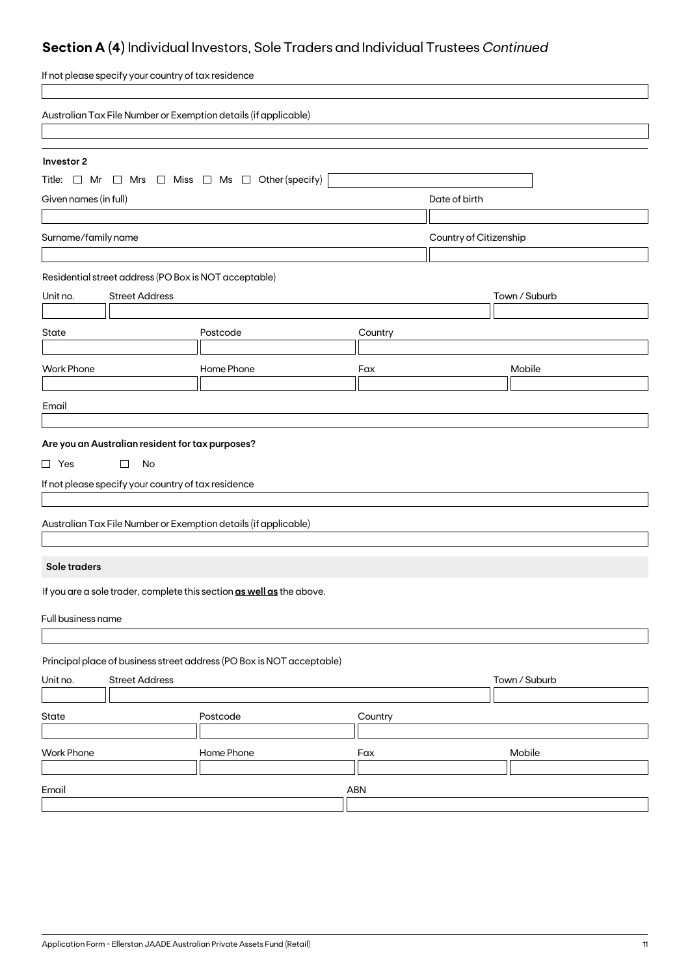# **Section A (4)** Individual Investors, Sole Traders and Individual Trustees *Continued*

| If not please specify your country of tax residence                      |            |         |                        |  |
|--------------------------------------------------------------------------|------------|---------|------------------------|--|
| Australian Tax File Number or Exemption details (if applicable)          |            |         |                        |  |
|                                                                          |            |         |                        |  |
| Investor 2                                                               |            |         |                        |  |
| Title: $\Box$ Mr $\Box$ Mrs $\Box$ Miss $\Box$ Ms $\Box$ Other (specify) |            |         |                        |  |
| Given names (in full)                                                    |            |         | Date of birth          |  |
| Surname/family name                                                      |            |         | Country of Citizenship |  |
|                                                                          |            |         |                        |  |
| Residential street address (PO Box is NOT acceptable)                    |            |         |                        |  |
| <b>Street Address</b><br>Unit no.                                        |            |         | Town / Suburb          |  |
|                                                                          |            |         |                        |  |
| State                                                                    | Postcode   | Country |                        |  |
| <b>Work Phone</b>                                                        | Home Phone | Fax     | Mobile                 |  |
|                                                                          |            |         |                        |  |
| Email                                                                    |            |         |                        |  |
|                                                                          |            |         |                        |  |
| Are you an Australian resident for tax purposes?                         |            |         |                        |  |
| $\Box$ Yes<br>□<br>No                                                    |            |         |                        |  |
| If not please specify your country of tax residence                      |            |         |                        |  |
|                                                                          |            |         |                        |  |
| Australian Tax File Number or Exemption details (if applicable)          |            |         |                        |  |
|                                                                          |            |         |                        |  |
| Sole traders                                                             |            |         |                        |  |
| If you are a sole trader, complete this section as well as the above.    |            |         |                        |  |
| Full business name                                                       |            |         |                        |  |
|                                                                          |            |         |                        |  |
| Principal place of business street address (PO Box is NOT acceptable)    |            |         |                        |  |
| <b>Street Address</b><br>Town / Suburb<br>Unit no.                       |            |         |                        |  |
|                                                                          |            |         |                        |  |
| State                                                                    | Postcode   | Country |                        |  |
| <b>Work Phone</b>                                                        | Home Phone | Fax     | Mobile                 |  |
|                                                                          |            |         |                        |  |
| Email                                                                    |            | ABN     |                        |  |
|                                                                          |            |         |                        |  |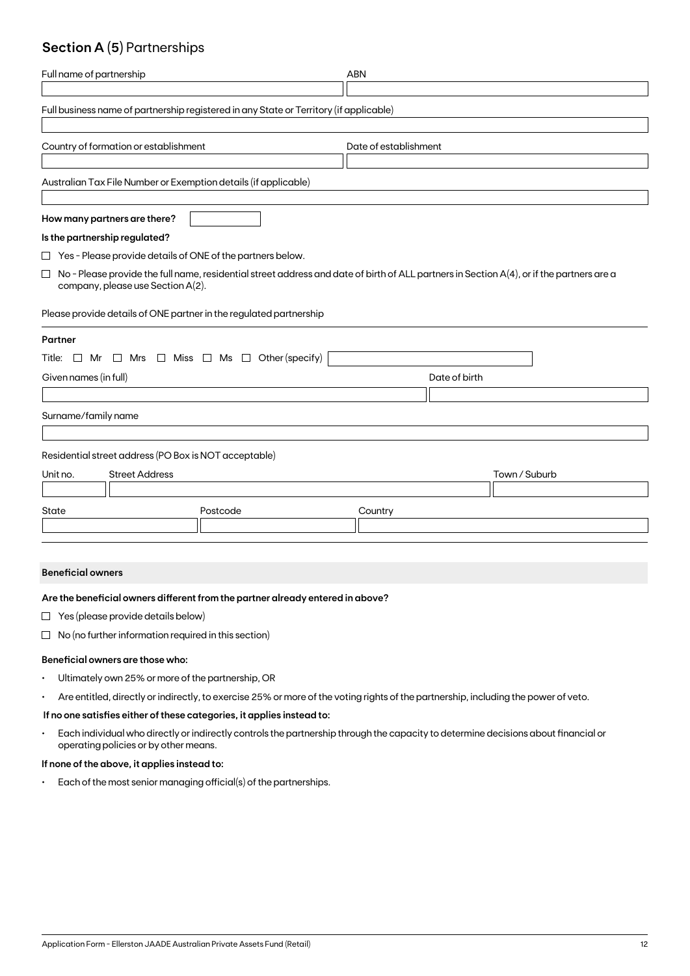## **Section A (5)** Partnerships

| Full name of partnership                                                                                                                                                                 | <b>ABN</b>            |
|------------------------------------------------------------------------------------------------------------------------------------------------------------------------------------------|-----------------------|
| Full business name of partnership registered in any State or Territory (if applicable)                                                                                                   |                       |
| Country of formation or establishment                                                                                                                                                    | Date of establishment |
| Australian Tax File Number or Exemption details (if applicable)                                                                                                                          |                       |
| How many partners are there?                                                                                                                                                             |                       |
| Is the partnership regulated?                                                                                                                                                            |                       |
| $\Box$ Yes - Please provide details of ONE of the partners below.                                                                                                                        |                       |
| No - Please provide the full name, residential street address and date of birth of ALL partners in Section A(4), or if the partners are a<br>$\Box$<br>company, please use Section A(2). |                       |
| Please provide details of ONE partner in the regulated partnership                                                                                                                       |                       |
| Partner                                                                                                                                                                                  |                       |
| Title: $\Box$ Mr $\Box$ Mrs $\Box$ Miss $\Box$ Ms $\Box$ Other (specify)                                                                                                                 |                       |
| Given names (in full)                                                                                                                                                                    | Date of birth         |
|                                                                                                                                                                                          |                       |
| Surname/family name                                                                                                                                                                      |                       |
| Residential street address (PO Box is NOT acceptable)                                                                                                                                    |                       |
| <b>Street Address</b><br>Unit no.                                                                                                                                                        | Town / Suburb         |
|                                                                                                                                                                                          |                       |
| State<br>Postcode                                                                                                                                                                        | Country               |
|                                                                                                                                                                                          |                       |

#### **Beneficial owners**

#### **Are the beneficial owners different from the partner already entered in above?**

- $\Box$  Yes (please provide details below)
- $\Box$  No (no further information required in this section)

#### **Beneficial owners are those who:**

- Ultimately own 25% or more of the partnership, OR
- Are entitled, directly or indirectly, to exercise 25% or more of the voting rights of the partnership, including the power of veto.

#### **If no one satisfies either of these categories, it applies instead to:**

• Each individual who directly or indirectly controls the partnership through the capacity to determine decisions about financial or operating policies or by other means.

#### **If none of the above, it applies instead to:**

• Each of the most senior managing official(s) of the partnerships.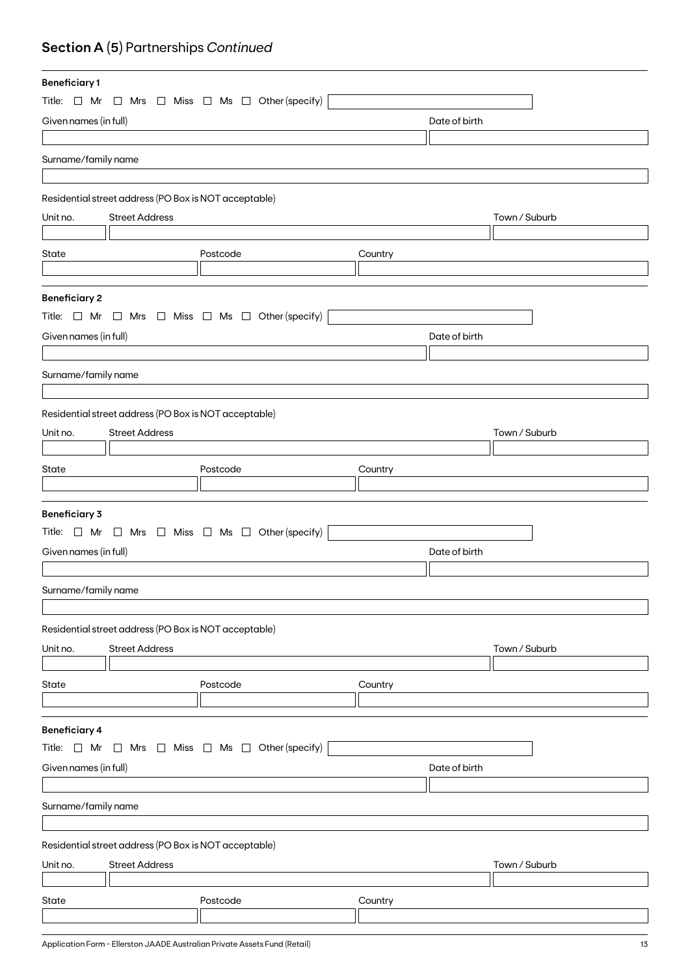# **Section A (5)** Partnerships *Continued*

| <b>Beneficiary1</b>   |                                                       |                                                                          |               |               |  |
|-----------------------|-------------------------------------------------------|--------------------------------------------------------------------------|---------------|---------------|--|
| Title: $\Box$ Mr      |                                                       | $\Box$ Mrs $\Box$ Miss $\Box$ Ms $\Box$ Other (specify)                  |               |               |  |
| Given names (in full) |                                                       |                                                                          | Date of birth |               |  |
|                       |                                                       |                                                                          |               |               |  |
| Surname/family name   |                                                       |                                                                          |               |               |  |
|                       |                                                       |                                                                          |               |               |  |
|                       |                                                       |                                                                          |               |               |  |
|                       | Residential street address (PO Box is NOT acceptable) |                                                                          |               |               |  |
| Unit no.              | <b>Street Address</b>                                 |                                                                          |               | Town / Suburb |  |
|                       |                                                       |                                                                          |               |               |  |
| State                 |                                                       | Postcode                                                                 | Country       |               |  |
|                       |                                                       |                                                                          |               |               |  |
|                       |                                                       |                                                                          |               |               |  |
| <b>Beneficiary 2</b>  |                                                       |                                                                          |               |               |  |
|                       |                                                       | Title: $\Box$ Mr $\Box$ Mrs $\Box$ Miss $\Box$ Ms $\Box$ Other (specify) |               |               |  |
| Given names (in full) |                                                       |                                                                          | Date of birth |               |  |
|                       |                                                       |                                                                          |               |               |  |
| Surname/family name   |                                                       |                                                                          |               |               |  |
|                       |                                                       |                                                                          |               |               |  |
|                       | Residential street address (PO Box is NOT acceptable) |                                                                          |               |               |  |
| Unit no.              | <b>Street Address</b>                                 |                                                                          |               | Town / Suburb |  |
|                       |                                                       |                                                                          |               |               |  |
| State                 |                                                       | Postcode                                                                 | Country       |               |  |
|                       |                                                       |                                                                          |               |               |  |
|                       |                                                       |                                                                          |               |               |  |
| <b>Beneficiary 3</b>  |                                                       |                                                                          |               |               |  |
|                       |                                                       | Title: $\Box$ Mr $\Box$ Mrs $\Box$ Miss $\Box$ Ms $\Box$ Other (specify) |               |               |  |
| Given names (in full) |                                                       |                                                                          | Date of birth |               |  |
|                       |                                                       |                                                                          |               |               |  |
| Surname/family name   |                                                       |                                                                          |               |               |  |
|                       |                                                       |                                                                          |               |               |  |
|                       |                                                       |                                                                          |               |               |  |
|                       | Residential street address (PO Box is NOT acceptable) |                                                                          |               |               |  |
| Unit no.              | <b>Street Address</b>                                 |                                                                          |               | Town / Suburb |  |
|                       |                                                       |                                                                          |               |               |  |
| State                 |                                                       | Postcode                                                                 | Country       |               |  |
|                       |                                                       |                                                                          |               |               |  |
| <b>Beneficiary 4</b>  |                                                       |                                                                          |               |               |  |
| Title: $\Box$ Mr      | $\Box$                                                | Mrs $\Box$ Miss $\Box$ Ms $\Box$ Other (specify)                         |               |               |  |
| Given names (in full) | Date of birth                                         |                                                                          |               |               |  |
|                       |                                                       |                                                                          |               |               |  |
|                       |                                                       |                                                                          |               |               |  |
| Surname/family name   |                                                       |                                                                          |               |               |  |
|                       |                                                       |                                                                          |               |               |  |
|                       | Residential street address (PO Box is NOT acceptable) |                                                                          |               |               |  |
| Unit no.              | <b>Street Address</b>                                 |                                                                          |               | Town / Suburb |  |
|                       |                                                       |                                                                          |               |               |  |
| State                 |                                                       | Postcode                                                                 | Country       |               |  |
|                       |                                                       |                                                                          |               |               |  |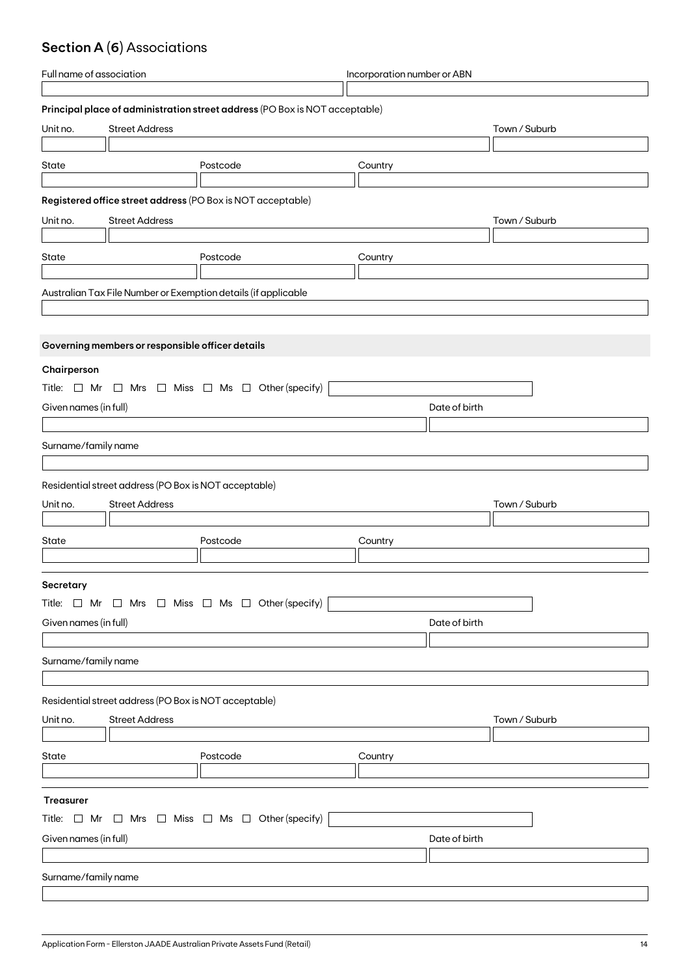# **Section A (6)** Associations

| Full name of association |                                                       | Incorporation number or ABN                                                 |         |               |               |
|--------------------------|-------------------------------------------------------|-----------------------------------------------------------------------------|---------|---------------|---------------|
|                          |                                                       |                                                                             |         |               |               |
|                          |                                                       | Principal place of administration street address (PO Box is NOT acceptable) |         |               |               |
| Unit no.                 | <b>Street Address</b>                                 |                                                                             |         |               | Town / Suburb |
|                          |                                                       |                                                                             |         |               |               |
| State                    |                                                       | Postcode                                                                    | Country |               |               |
|                          |                                                       |                                                                             |         |               |               |
|                          |                                                       | Registered office street address (PO Box is NOT acceptable)                 |         |               |               |
| Unit no.                 | <b>Street Address</b>                                 |                                                                             |         |               | Town / Suburb |
|                          |                                                       |                                                                             |         |               |               |
| State                    |                                                       | Postcode                                                                    | Country |               |               |
|                          |                                                       |                                                                             |         |               |               |
|                          |                                                       | Australian Tax File Number or Exemption details (if applicable              |         |               |               |
|                          |                                                       |                                                                             |         |               |               |
|                          |                                                       |                                                                             |         |               |               |
|                          | Governing members or responsible officer details      |                                                                             |         |               |               |
|                          |                                                       |                                                                             |         |               |               |
| Chairperson              |                                                       |                                                                             |         |               |               |
|                          |                                                       | Title: $\Box$ Mr $\Box$ Mrs $\Box$ Miss $\Box$ Ms $\Box$ Other (specify)    |         |               |               |
| Given names (in full)    |                                                       |                                                                             |         | Date of birth |               |
|                          |                                                       |                                                                             |         |               |               |
| Surname/family name      |                                                       |                                                                             |         |               |               |
|                          |                                                       |                                                                             |         |               |               |
|                          | Residential street address (PO Box is NOT acceptable) |                                                                             |         |               |               |
|                          | <b>Street Address</b>                                 |                                                                             |         |               |               |
| Unit no.                 |                                                       |                                                                             |         |               | Town / Suburb |
|                          |                                                       |                                                                             |         |               |               |
| State                    |                                                       | Postcode                                                                    | Country |               |               |
|                          |                                                       |                                                                             |         |               |               |
| Secretary                |                                                       |                                                                             |         |               |               |
|                          |                                                       | Title: $\Box$ Mr $\Box$ Mrs $\Box$ Miss $\Box$ Ms $\Box$ Other (specify)    |         |               |               |
| Given names (in full)    |                                                       |                                                                             |         | Date of birth |               |
|                          |                                                       |                                                                             |         |               |               |
| Surname/family name      |                                                       |                                                                             |         |               |               |
|                          |                                                       |                                                                             |         |               |               |
|                          |                                                       |                                                                             |         |               |               |
|                          | Residential street address (PO Box is NOT acceptable) |                                                                             |         |               |               |
| Unit no.                 | <b>Street Address</b>                                 |                                                                             |         |               | Town / Suburb |
|                          |                                                       |                                                                             |         |               |               |
| State                    |                                                       | Postcode                                                                    | Country |               |               |
|                          |                                                       |                                                                             |         |               |               |
|                          |                                                       |                                                                             |         |               |               |
|                          |                                                       |                                                                             |         |               |               |
| Treasurer                |                                                       |                                                                             |         |               |               |
|                          |                                                       | Title: $\Box$ Mr $\Box$ Mrs $\Box$ Miss $\Box$ Ms $\Box$ Other (specify)    |         |               |               |
| Given names (in full)    |                                                       |                                                                             |         | Date of birth |               |
|                          |                                                       |                                                                             |         |               |               |
| Surname/family name      |                                                       |                                                                             |         |               |               |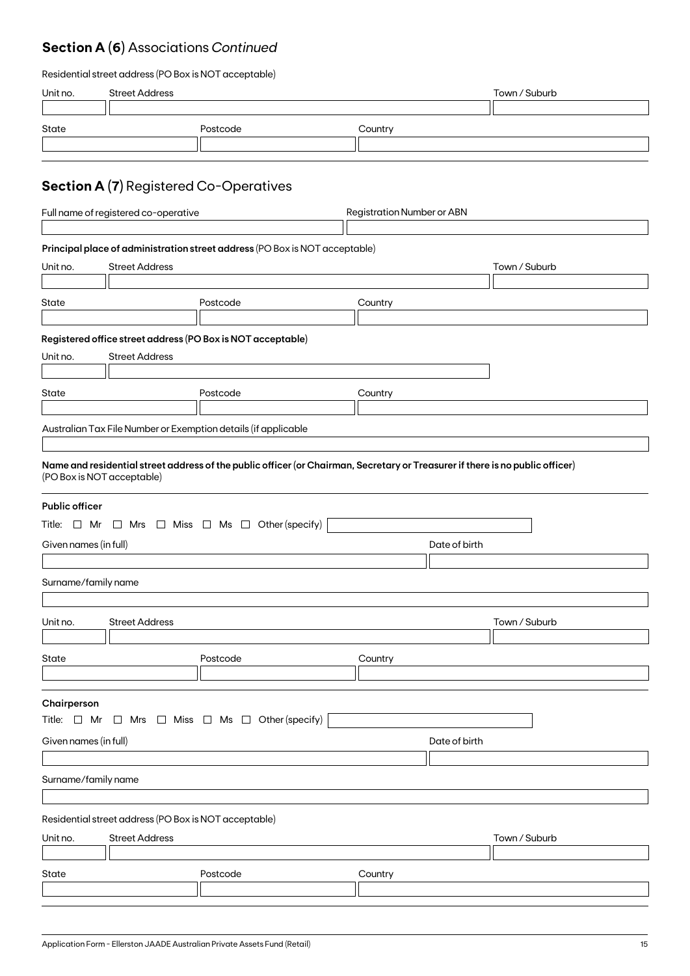## **Section A (6)** Associations *Continued*

### Residential street address (PO Box is NOT acceptable)

| Unit no.                   | <b>Street Address</b>                                 |                                                                                                                               |                                   | Town / Suburb |
|----------------------------|-------------------------------------------------------|-------------------------------------------------------------------------------------------------------------------------------|-----------------------------------|---------------|
|                            |                                                       |                                                                                                                               |                                   |               |
| State                      |                                                       | Postcode                                                                                                                      | Country                           |               |
|                            |                                                       |                                                                                                                               |                                   |               |
|                            |                                                       |                                                                                                                               |                                   |               |
|                            |                                                       | <b>Section A (7)</b> Registered Co-Operatives                                                                                 |                                   |               |
|                            | Full name of registered co-operative                  |                                                                                                                               | <b>Registration Number or ABN</b> |               |
|                            |                                                       |                                                                                                                               |                                   |               |
|                            |                                                       | Principal place of administration street address (PO Box is NOT acceptable)                                                   |                                   |               |
| Unit no.                   | <b>Street Address</b>                                 |                                                                                                                               |                                   | Town / Suburb |
|                            |                                                       |                                                                                                                               |                                   |               |
| State                      |                                                       | Postcode                                                                                                                      | Country                           |               |
|                            |                                                       |                                                                                                                               |                                   |               |
|                            |                                                       | Registered office street address (PO Box is NOT acceptable)                                                                   |                                   |               |
| Unit no.                   | <b>Street Address</b>                                 |                                                                                                                               |                                   |               |
|                            |                                                       |                                                                                                                               |                                   |               |
| State                      |                                                       | Postcode                                                                                                                      | Country                           |               |
|                            |                                                       | Australian Tax File Number or Exemption details (if applicable                                                                |                                   |               |
|                            |                                                       |                                                                                                                               |                                   |               |
| (PO Box is NOT acceptable) |                                                       | Name and residential street address of the public officer (or Chairman, Secretary or Treasurer if there is no public officer) |                                   |               |
| <b>Public officer</b>      |                                                       |                                                                                                                               |                                   |               |
|                            |                                                       | Title: $\Box$ Mr $\Box$ Mrs $\Box$ Miss $\Box$ Ms $\Box$ Other (specify)                                                      |                                   |               |
| Given names (in full)      |                                                       |                                                                                                                               | Date of birth                     |               |
|                            |                                                       |                                                                                                                               |                                   |               |
| Surname/family name        |                                                       |                                                                                                                               |                                   |               |
|                            |                                                       |                                                                                                                               |                                   |               |
| Unit no.                   | <b>Street Address</b>                                 |                                                                                                                               |                                   | Town / Suburb |
|                            |                                                       |                                                                                                                               |                                   |               |
| State                      |                                                       | Postcode                                                                                                                      | Country                           |               |
|                            |                                                       |                                                                                                                               |                                   |               |
| Chairperson                |                                                       | Title: $\Box$ Mr $\Box$ Mrs $\Box$ Miss $\Box$ Ms $\Box$ Other (specify)                                                      |                                   |               |
| Given names (in full)      |                                                       |                                                                                                                               | Date of birth                     |               |
|                            |                                                       |                                                                                                                               |                                   |               |
| Surname/family name        |                                                       |                                                                                                                               |                                   |               |
|                            |                                                       |                                                                                                                               |                                   |               |
|                            | Residential street address (PO Box is NOT acceptable) |                                                                                                                               |                                   |               |
| Unit no.                   | <b>Street Address</b>                                 |                                                                                                                               |                                   | Town / Suburb |
|                            |                                                       |                                                                                                                               |                                   |               |
| State                      |                                                       | Postcode                                                                                                                      | Country                           |               |
|                            |                                                       |                                                                                                                               |                                   |               |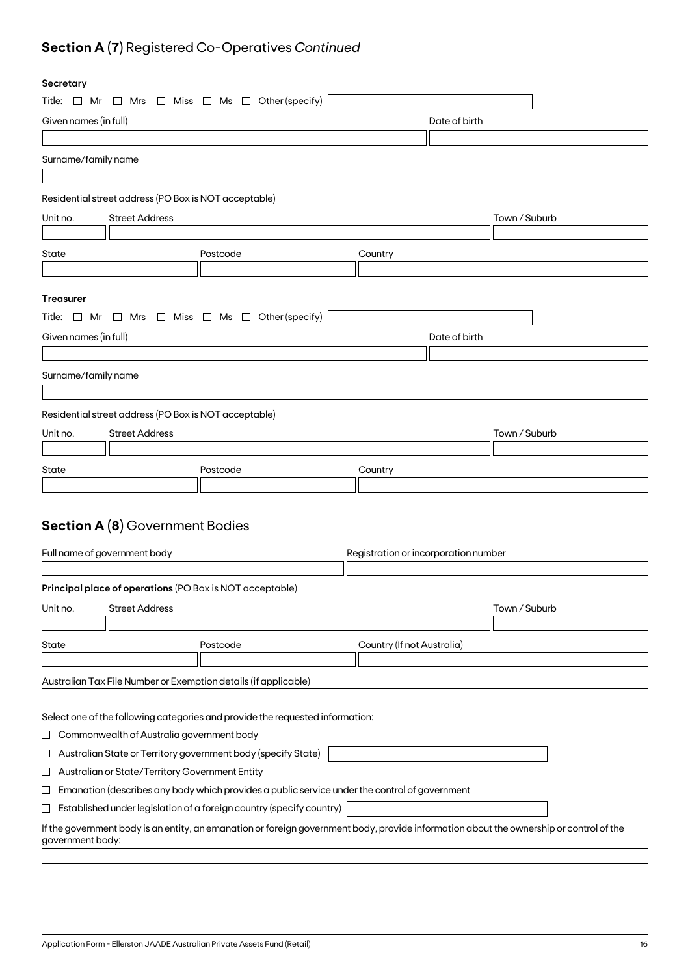# **Section A (7)** Registered Co-Operatives *Continued*

| Secretary             |                                                       |                                                                                                                                         |                                      |               |  |
|-----------------------|-------------------------------------------------------|-----------------------------------------------------------------------------------------------------------------------------------------|--------------------------------------|---------------|--|
|                       |                                                       | Title: $\Box$ Mr $\Box$ Mrs $\Box$ Miss $\Box$ Ms $\Box$ Other (specify)                                                                |                                      |               |  |
| Given names (in full) |                                                       |                                                                                                                                         | Date of birth                        |               |  |
|                       |                                                       |                                                                                                                                         |                                      |               |  |
| Surname/family name   |                                                       |                                                                                                                                         |                                      |               |  |
|                       |                                                       |                                                                                                                                         |                                      |               |  |
|                       | Residential street address (PO Box is NOT acceptable) |                                                                                                                                         |                                      |               |  |
| Unit no.              | <b>Street Address</b>                                 |                                                                                                                                         |                                      | Town / Suburb |  |
|                       |                                                       |                                                                                                                                         |                                      |               |  |
| State                 |                                                       | Postcode                                                                                                                                | Country                              |               |  |
|                       |                                                       |                                                                                                                                         |                                      |               |  |
|                       |                                                       |                                                                                                                                         |                                      |               |  |
| <b>Treasurer</b>      |                                                       |                                                                                                                                         |                                      |               |  |
|                       |                                                       | Title: $\Box$ Mr $\Box$ Mrs $\Box$ Miss $\Box$ Ms $\Box$ Other (specify)                                                                |                                      |               |  |
| Given names (in full) |                                                       |                                                                                                                                         | Date of birth                        |               |  |
|                       |                                                       |                                                                                                                                         |                                      |               |  |
| Surname/family name   |                                                       |                                                                                                                                         |                                      |               |  |
|                       |                                                       |                                                                                                                                         |                                      |               |  |
|                       | Residential street address (PO Box is NOT acceptable) |                                                                                                                                         |                                      |               |  |
| Unit no.              | <b>Street Address</b>                                 |                                                                                                                                         |                                      | Town / Suburb |  |
|                       |                                                       |                                                                                                                                         |                                      |               |  |
| State                 |                                                       | Postcode                                                                                                                                | Country                              |               |  |
|                       |                                                       |                                                                                                                                         |                                      |               |  |
|                       |                                                       |                                                                                                                                         |                                      |               |  |
|                       | <b>Section A (8)</b> Government Bodies                |                                                                                                                                         |                                      |               |  |
|                       |                                                       |                                                                                                                                         |                                      |               |  |
|                       | Full name of government body                          |                                                                                                                                         | Registration or incorporation number |               |  |
|                       |                                                       |                                                                                                                                         |                                      |               |  |
|                       |                                                       | Principal place of operations (PO Box is NOT acceptable)                                                                                |                                      |               |  |
| Unit no.              | <b>Street Address</b>                                 |                                                                                                                                         |                                      | Town / Suburb |  |
|                       |                                                       |                                                                                                                                         |                                      |               |  |
| State                 |                                                       | Postcode                                                                                                                                | Country (If not Australia)           |               |  |
|                       |                                                       |                                                                                                                                         |                                      |               |  |
|                       |                                                       | Australian Tax File Number or Exemption details (if applicable)                                                                         |                                      |               |  |
|                       |                                                       |                                                                                                                                         |                                      |               |  |
|                       |                                                       | Select one of the following categories and provide the requested information:                                                           |                                      |               |  |
| ப                     | Commonwealth of Australia government body             |                                                                                                                                         |                                      |               |  |
| ப                     |                                                       | Australian State or Territory government body (specify State)                                                                           |                                      |               |  |
| ப                     | Australian or State/Territory Government Entity       |                                                                                                                                         |                                      |               |  |
| $\sqcup$              |                                                       | Emanation (describes any body which provides a public service under the control of government                                           |                                      |               |  |
| $\sqcup$              |                                                       | Established under legislation of a foreign country (specify country)                                                                    |                                      |               |  |
| government body:      |                                                       | If the government body is an entity, an emanation or foreign government body, provide information about the ownership or control of the |                                      |               |  |
|                       |                                                       |                                                                                                                                         |                                      |               |  |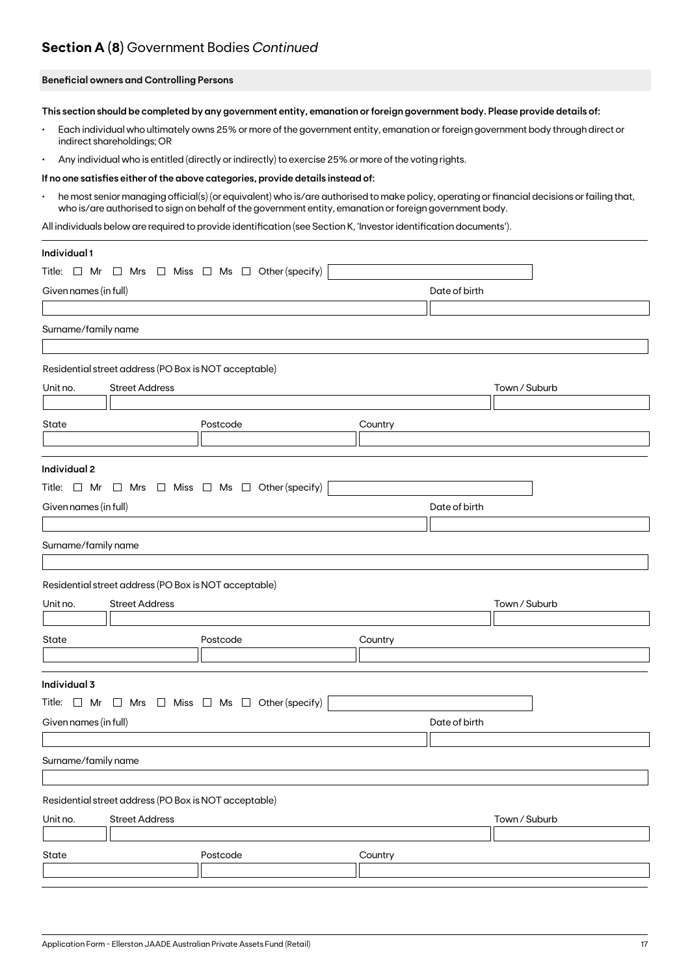## **Section A (8)** Government Bodies *Continued*

#### **Beneficial owners and Controlling Persons**

**This section should be completed by any government entity, emanation or foreign government body. Please provide details of:**

- Each individual who ultimately owns 25% or more of the government entity, emanation or foreign government body through direct or indirect shareholdings; OR
- Any individual who is entitled (directly or indirectly) to exercise 25% or more of the voting rights.

#### **If no one satisfies either of the above categories, provide details instead of:**

• he most senior managing official(s) (or equivalent) who is/are authorised to make policy, operating or financial decisions or failing that, who is/are authorised to sign on behalf of the government entity, emanation or foreign government body.

All individuals below are required to provide identification (see Section K, 'Investor identification documents').

| Individual 1                                                             |          |               |               |
|--------------------------------------------------------------------------|----------|---------------|---------------|
| Title: $\Box$ Mr $\Box$ Mrs $\Box$ Miss $\Box$ Ms $\Box$ Other (specify) |          |               |               |
| Given names (in full)                                                    |          | Date of birth |               |
|                                                                          |          |               |               |
| Surname/family name                                                      |          |               |               |
|                                                                          |          |               |               |
| Residential street address (PO Box is NOT acceptable)                    |          |               |               |
| <b>Street Address</b><br>Unit no.                                        |          |               | Town / Suburb |
|                                                                          |          |               |               |
| State                                                                    | Postcode | Country       |               |
|                                                                          |          |               |               |
| Individual 2                                                             |          |               |               |
| Title: $\Box$ Mr $\Box$ Mrs $\Box$ Miss $\Box$ Ms $\Box$ Other (specify) |          |               |               |
| Given names (in full)                                                    |          | Date of birth |               |
|                                                                          |          |               |               |
| Surname/family name                                                      |          |               |               |
|                                                                          |          |               |               |
| Residential street address (PO Box is NOT acceptable)                    |          |               |               |
| Unit no.<br><b>Street Address</b>                                        |          |               | Town / Suburb |
|                                                                          |          |               |               |
| State                                                                    | Postcode | Country       |               |
|                                                                          |          |               |               |
| Individual 3                                                             |          |               |               |
| Title: $\Box$ Mr $\Box$ Mrs $\Box$ Miss $\Box$ Ms $\Box$ Other (specify) |          |               |               |
| Given names (in full)                                                    |          | Date of birth |               |
|                                                                          |          |               |               |
| Surname/family name                                                      |          |               |               |
|                                                                          |          |               |               |
| Residential street address (PO Box is NOT acceptable)                    |          |               |               |
| Unit no.<br><b>Street Address</b>                                        |          |               | Town / Suburb |
|                                                                          |          |               |               |
| State                                                                    | Postcode | Country       |               |
|                                                                          |          |               |               |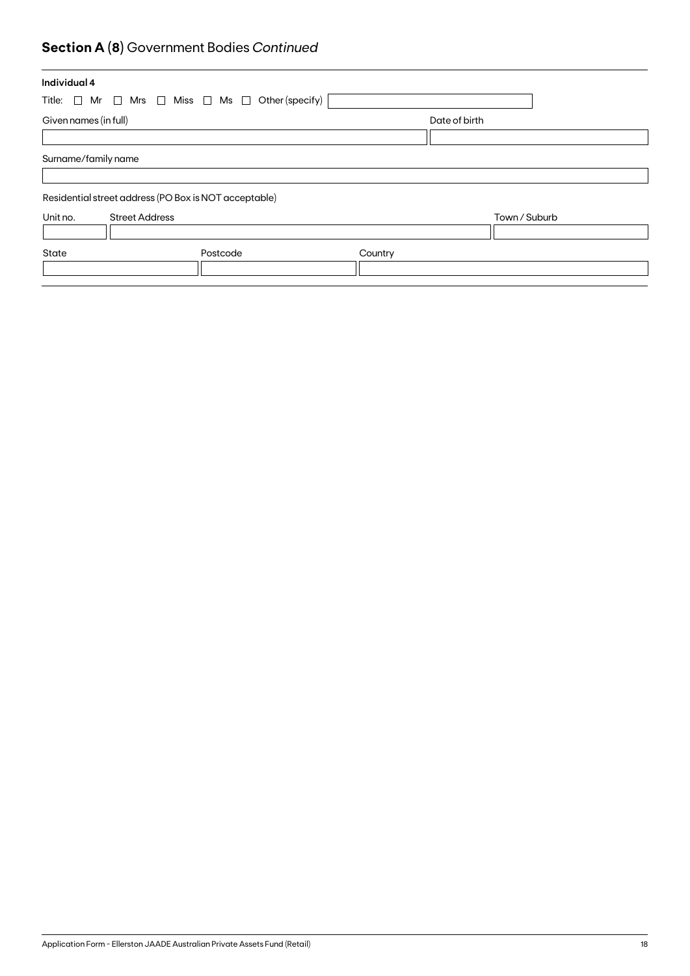# **Section A (8)** Government Bodies *Continued*

| Individual 4                                                             |          |         |               |  |
|--------------------------------------------------------------------------|----------|---------|---------------|--|
| Title: $\Box$ Mr $\Box$ Mrs $\Box$ Miss $\Box$ Ms $\Box$ Other (specify) |          |         |               |  |
| Given names (in full)                                                    |          |         | Date of birth |  |
|                                                                          |          |         |               |  |
| Surname/family name                                                      |          |         |               |  |
|                                                                          |          |         |               |  |
| Residential street address (PO Box is NOT acceptable)                    |          |         |               |  |
| Unit no.<br><b>Street Address</b>                                        |          |         | Town / Suburb |  |
|                                                                          |          |         |               |  |
| State                                                                    | Postcode | Country |               |  |
|                                                                          |          |         |               |  |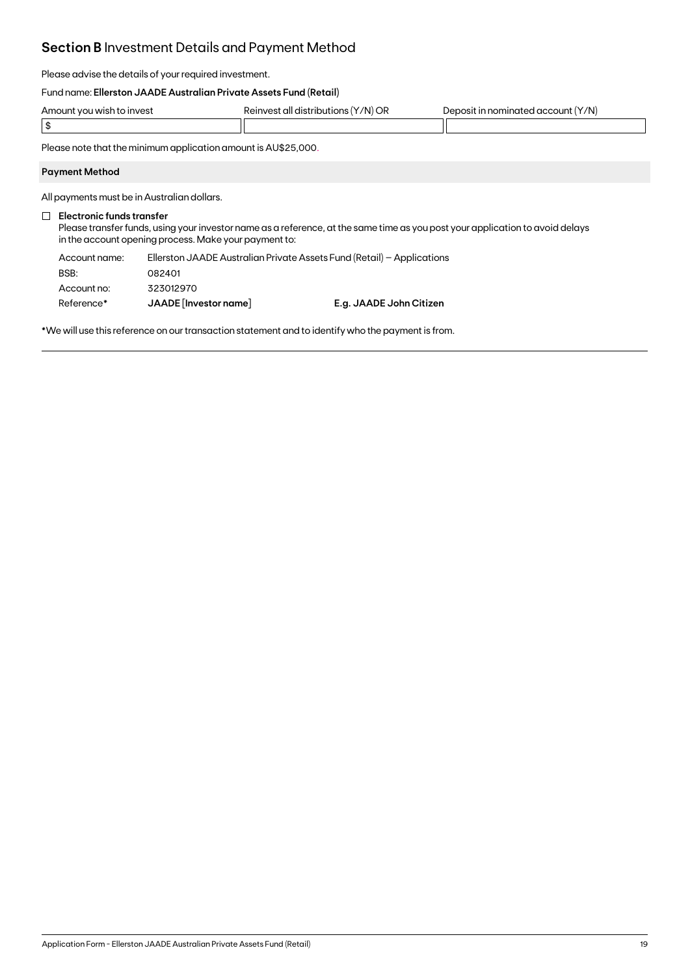## **Section B** Investment Details and Payment Method

Please advise the details of your required investment.

#### Fund name: **Ellerston JAADE Australian Private Assets Fund (Retail)**

| Amount you wish to invest | '/N) OR<br>all distribi.<br>''AINVAS.<br>ne.<br><b>ITIC</b> | 'Y/N)<br>cominater.<br>account<br>$\lambda$ |
|---------------------------|-------------------------------------------------------------|---------------------------------------------|
|                           |                                                             |                                             |

Please note that the minimum application amount is AU\$25,000.

#### **Payment Method**

All payments must be in Australian dollars.

#### **Electronic funds transfer**

Please transfer funds, using your investor name as a reference, at the same time as you post your application to avoid delays in the account opening process. Make your payment to:

| Account name: | Ellerston JAADE Australian Private Assets Fund (Retail) - Applications |                         |
|---------------|------------------------------------------------------------------------|-------------------------|
| BSB:          | 082401                                                                 |                         |
| Account no:   | 323012970                                                              |                         |
| Reference*    | JAADE [Investor name]                                                  | E.g. JAADE John Citizen |

\*We will use this reference on our transaction statement and to identify who the payment is from.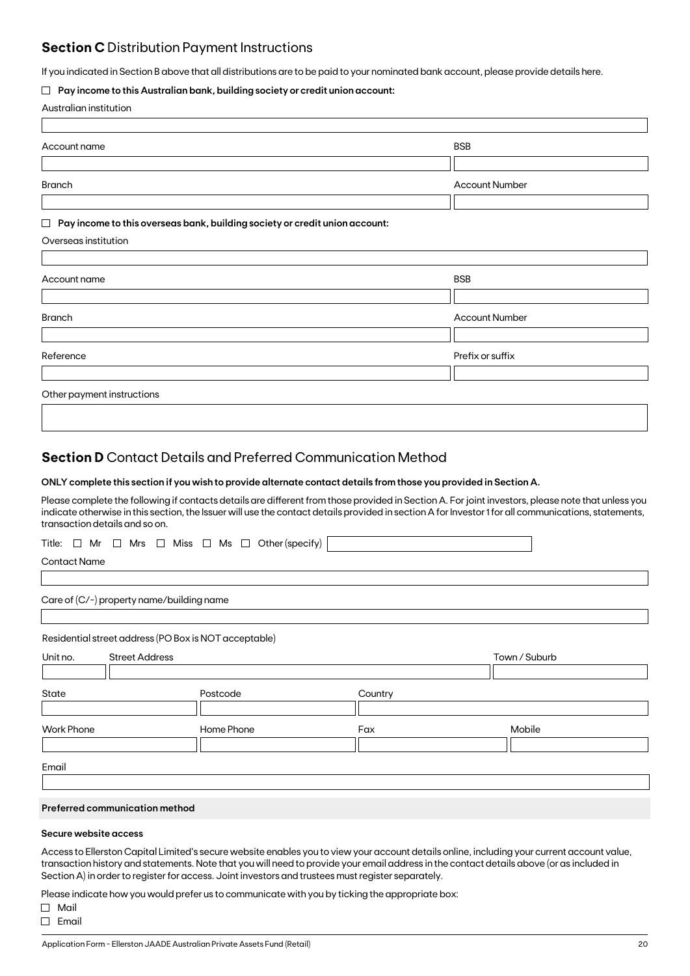## **Section C** Distribution Payment Instructions

If you indicated in Section B above that all distributions are to be paid to your nominated bank account, please provide details here.

#### **Pay income to this Australian bank, building society or credit union account:**

|  | Australian institution |
|--|------------------------|
|--|------------------------|

| Account name                                                                          | <b>BSB</b>            |
|---------------------------------------------------------------------------------------|-----------------------|
|                                                                                       |                       |
| <b>Branch</b>                                                                         | <b>Account Number</b> |
|                                                                                       |                       |
| Pay income to this overseas bank, building society or credit union account:<br>$\Box$ |                       |
| Overseas institution                                                                  |                       |
|                                                                                       |                       |
| Account name                                                                          | <b>BSB</b>            |
|                                                                                       |                       |
| <b>Branch</b>                                                                         | <b>Account Number</b> |
|                                                                                       |                       |
| Reference                                                                             | Prefix or suffix      |
|                                                                                       |                       |
| Other payment instructions                                                            |                       |
|                                                                                       |                       |

### **Section D** Contact Details and Preferred Communication Method

#### **ONLY complete this section if you wish to provide alternate contact details from those you provided in Section A.**

Please complete the following if contacts details are different from those provided in Section A. For joint investors, please note that unless you indicate otherwise in this section, the Issuer will use the contact details provided in section A for Investor 1 for all communications, statements, transaction details and so on.

|  |  |  |  |  |  |  |  |  |  | Title: $\Box$ Mr $\Box$ Mrs $\Box$ Miss $\Box$ Ms $\Box$ Other(specify) $\vert$ |  |
|--|--|--|--|--|--|--|--|--|--|---------------------------------------------------------------------------------|--|
|--|--|--|--|--|--|--|--|--|--|---------------------------------------------------------------------------------|--|

Contact Name

Care of (C/-) property name/building name

Residential street address (PO Box is NOT acceptable)

| Unit no.          | <b>Street Address</b> |            |         | Town / Suburb |
|-------------------|-----------------------|------------|---------|---------------|
|                   |                       |            |         |               |
| State             |                       | Postcode   | Country |               |
|                   |                       |            |         |               |
| <b>Work Phone</b> |                       | Home Phone | Fax     | Mobile        |
|                   |                       |            |         |               |
|                   |                       |            |         |               |
| Email             |                       |            |         |               |

#### **Preferred communication method**

#### **Secure website access**

Access to Ellerston Capital Limited's secure website enables you to view your account details online, including your current account value, transaction history and statements. Note that you will need to provide your email address in the contact details above (or as included in Section A) in order to register for access. Joint investors and trustees must register separately.

Please indicate how you would prefer us to communicate with you by ticking the appropriate box:

Mail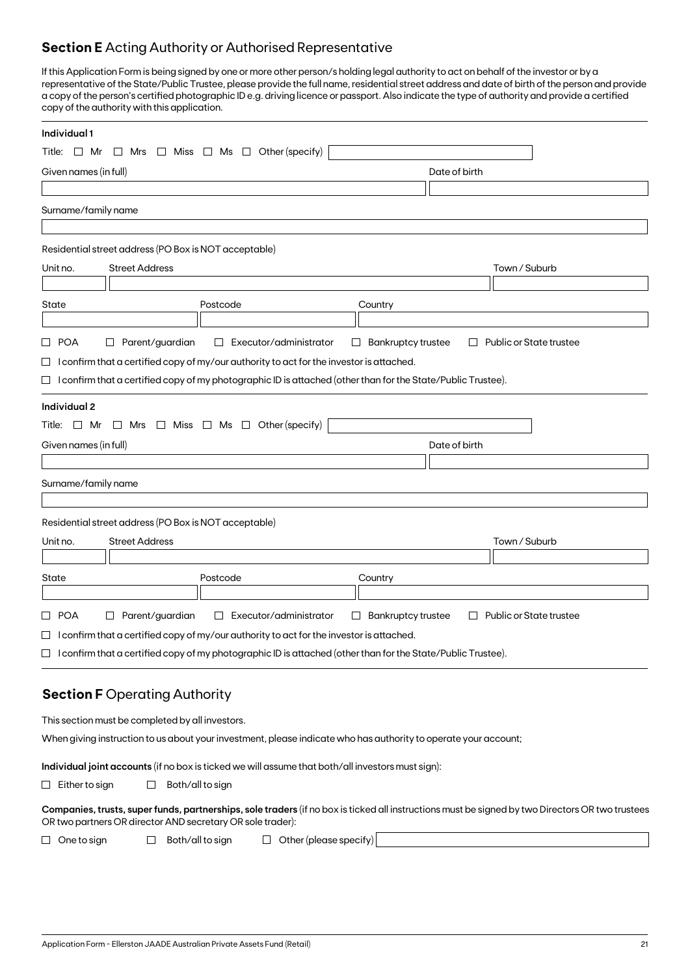## **Section E** Acting Authority or Authorised Representative

If this Application Form is being signed by one or more other person/s holding legal authority to act on behalf of the investor or by a representative of the State/Public Trustee, please provide the full name, residential street address and date of birth of the person and provide a copy of the person's certified photographic ID e.g. driving licence or passport. Also indicate the type of authority and provide a certified copy of the authority with this application.

| Individual 1                                                                                                                                                                                                   |                                                                |
|----------------------------------------------------------------------------------------------------------------------------------------------------------------------------------------------------------------|----------------------------------------------------------------|
| Other (specify)<br>Miss $\Box$ Ms $\Box$<br>Title: $\Box$ Mr<br>$\Box$ Mrs<br>└                                                                                                                                |                                                                |
| Given names (in full)                                                                                                                                                                                          | Date of birth                                                  |
|                                                                                                                                                                                                                |                                                                |
| Surname/family name                                                                                                                                                                                            |                                                                |
|                                                                                                                                                                                                                |                                                                |
| Residential street address (PO Box is NOT acceptable)                                                                                                                                                          |                                                                |
| <b>Street Address</b><br>Unit no.                                                                                                                                                                              | Town / Suburb                                                  |
|                                                                                                                                                                                                                |                                                                |
| State<br>Postcode                                                                                                                                                                                              | Country                                                        |
| Parent/guardian<br>□ POA<br>Executor/administrator<br>$\Box$<br>$\Box$                                                                                                                                         | <b>Bankruptcy trustee</b><br>Public or State trustee<br>$\Box$ |
| $\Box$ I confirm that a certified copy of my/our authority to act for the investor is attached.                                                                                                                |                                                                |
| $\Box$ I confirm that a certified copy of my photographic ID is attached (other than for the State/Public Trustee).                                                                                            |                                                                |
|                                                                                                                                                                                                                |                                                                |
| Individual 2                                                                                                                                                                                                   |                                                                |
| Title: $\Box$ Mr $\Box$ Mrs $\Box$ Miss $\Box$ Ms $\Box$ Other (specify)                                                                                                                                       |                                                                |
| Given names (in full)                                                                                                                                                                                          | Date of birth                                                  |
| Surname/family name                                                                                                                                                                                            |                                                                |
|                                                                                                                                                                                                                |                                                                |
| Residential street address (PO Box is NOT acceptable)                                                                                                                                                          |                                                                |
| <b>Street Address</b><br>Unit no.                                                                                                                                                                              | Town / Suburb                                                  |
|                                                                                                                                                                                                                |                                                                |
| Postcode<br>State                                                                                                                                                                                              | Country                                                        |
|                                                                                                                                                                                                                |                                                                |
| □ POA<br>$\Box$ Parent/guardian<br>Executor/administrator<br>$\Box$<br>$\Box$                                                                                                                                  | <b>Bankruptcy trustee</b><br>Public or State trustee<br>$\Box$ |
| $\Box$ I confirm that a certified copy of my/our authority to act for the investor is attached.                                                                                                                |                                                                |
| $\Box$ I confirm that a certified copy of my photographic ID is attached (other than for the State/Public Trustee).                                                                                            |                                                                |
|                                                                                                                                                                                                                |                                                                |
| <b>Section F Operating Authority</b>                                                                                                                                                                           |                                                                |
| This section must be completed by all investors.                                                                                                                                                               |                                                                |
| When giving instruction to us about your investment, please indicate who has authority to operate your account;                                                                                                |                                                                |
| Individual joint accounts (if no box is ticked we will assume that both/all investors must sign):                                                                                                              |                                                                |
| Both/all to sign<br>$\Box$ Either to sign<br>$\Box$                                                                                                                                                            |                                                                |
|                                                                                                                                                                                                                |                                                                |
| Companies, trusts, super funds, partnerships, sole traders (if no box is ticked all instructions must be signed by two Directors OR two trustees<br>OR two partners OR director AND secretary OR sole trader): |                                                                |
| $\Box$ Other (please specify)<br>Both/all to sign<br>$\Box$ One to sign<br>$\Box$                                                                                                                              |                                                                |
|                                                                                                                                                                                                                |                                                                |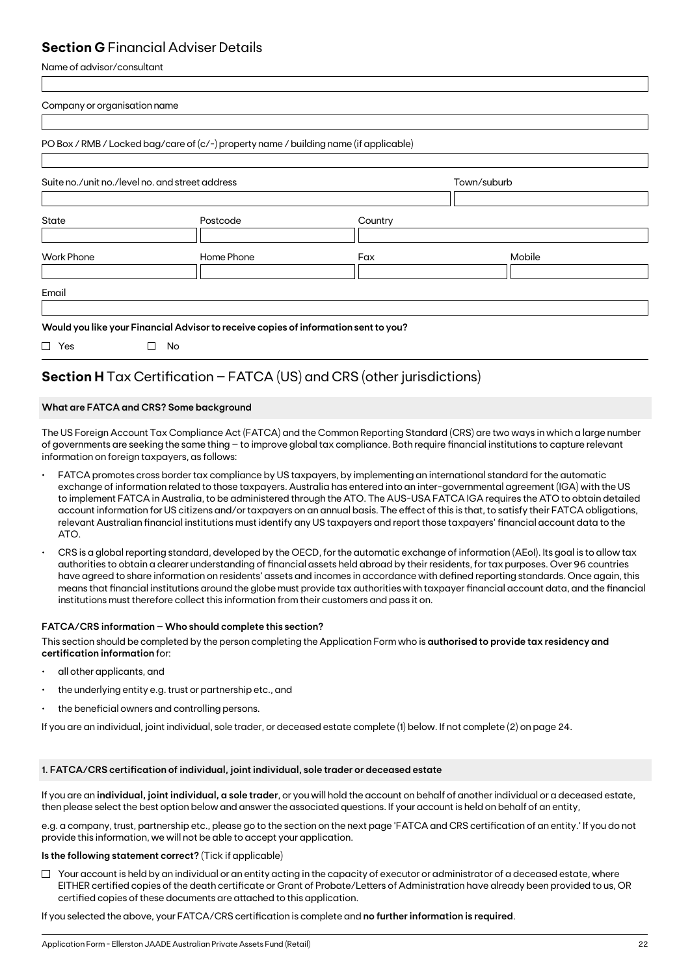## **Section G** Financial Adviser Details

Name of advisor/consultant

| Company or organisation name                    |                                                                                       |         |             |  |
|-------------------------------------------------|---------------------------------------------------------------------------------------|---------|-------------|--|
|                                                 | PO Box / RMB / Locked bag/care of (c/-) property name / building name (if applicable) |         |             |  |
| Suite no./unit no./level no. and street address |                                                                                       |         | Town/suburb |  |
| State                                           | Postcode                                                                              | Country |             |  |
| <b>Work Phone</b>                               | Home Phone                                                                            | Fax     | Mobile      |  |
| Email                                           |                                                                                       |         |             |  |
|                                                 | Would you like your Financial Advisor to receive copies of information sent to you?   |         |             |  |
| П<br>Yes                                        | No<br>П                                                                               |         |             |  |

## **Section H** Tax Certification – FATCA (US) and CRS (other jurisdictions)

### **What are FATCA and CRS? Some background**

The US Foreign Account Tax Compliance Act (FATCA) and the Common Reporting Standard (CRS) are two ways in which a large number of governments are seeking the same thing – to improve global tax compliance. Both require financial institutions to capture relevant information on foreign taxpayers, as follows:

- FATCA promotes cross border tax compliance by US taxpayers, by implementing an international standard for the automatic exchange of information related to those taxpayers. Australia has entered into an inter-governmental agreement (IGA) with the US to implement FATCA in Australia, to be administered through the ATO. The AUS-USA FATCA IGA requires the ATO to obtain detailed account information for US citizens and/or taxpayers on an annual basis. The effect of this is that, to satisfy their FATCA obligations, relevant Australian financial institutions must identify any US taxpayers and report those taxpayers' financial account data to the ATO.
- CRS is a global reporting standard, developed by the OECD, for the automatic exchange of information (AEoI). Its goal is to allow tax authorities to obtain a clearer understanding of financial assets held abroad by their residents, for tax purposes. Over 96 countries have agreed to share information on residents' assets and incomes in accordance with defined reporting standards. Once again, this means that financial institutions around the globe must provide tax authorities with taxpayer financial account data, and the financial institutions must therefore collect this information from their customers and pass it on.

### **FATCA/CRS information – Who should complete this section?**

This section should be completed by the person completing the Application Form who is **authorised to provide tax residency and certification information** for:

- all other applicants, and
- the underlying entity e.g. trust or partnership etc., and
- the beneficial owners and controlling persons.

If you are an individual, joint individual, sole trader, or deceased estate complete (1) below. If not complete (2) on page 24.

### **1. FATCA/CRS certification of individual, joint individual, sole trader or deceased estate**

If you are an **individual, joint individual, a sole trader**, or you will hold the account on behalf of another individual or a deceased estate, then please select the best option below and answer the associated questions. If your account is held on behalf of an entity,

e.g. a company, trust, partnership etc., please go to the section on the next page 'FATCA and CRS certification of an entity.' If you do not provide this information, we will not be able to accept your application.

### **Is the following statement correct?** (Tick if applicable)

 $\Box$  Your account is held by an individual or an entity acting in the capacity of executor or administrator of a deceased estate, where EITHER certified copies of the death certificate or Grant of Probate/Letters of Administration have already been provided to us, OR certified copies of these documents are attached to this application.

If you selected the above, your FATCA/CRS certification is complete and **no further information is required**.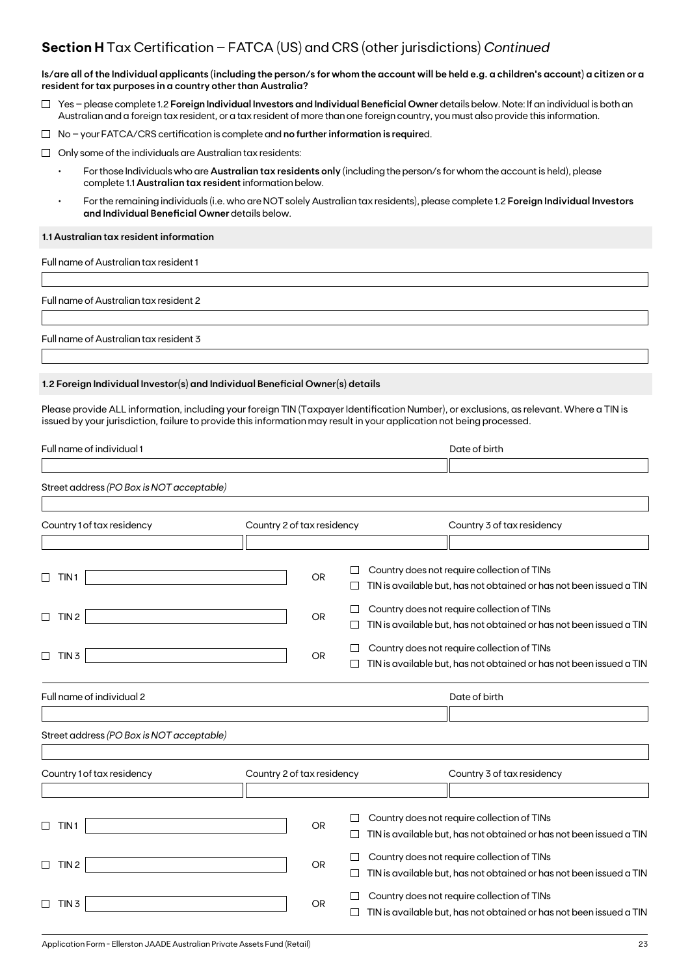## **Section H** Tax Certification – FATCA (US) and CRS (other jurisdictions) *Continued*

**Is/are all of the Individual applicants (including the person/s for whom the account will be held e.g. a children's account) a citizen or a resident for tax purposes in a country other than Australia?**

- Yes please complete 1.2 **Foreign Individual Investors and Individual Beneficial Owner** details below. Note: If an individual is both an Australian and a foreign tax resident, or a tax resident of more than one foreign country, you must also provide this information.
- No your FATCA/CRS certification is complete and **no further information is require**d.
- $\Box$  Only some of the individuals are Australian tax residents:
	- For those Individuals who are **Australian tax residents only** (including the person/s for whom the account is held), please complete 1.1 **Australian tax resident** information below.
	- For the remaining individuals (i.e. who are NOT solely Australian tax residents), please complete 1.2 **Foreign Individual Investors and Individual Beneficial Owner** details below.

#### **1.1 Australian tax resident information**

Full name of Australian tax resident 1

Full name of Australian tax resident 2

Full name of Australian tax resident 3

#### **1.2 Foreign Individual Investor(s) and Individual Beneficial Owner(s) details**

Please provide ALL information, including your foreign TIN (Taxpayer Identification Number), or exclusions, as relevant. Where a TIN is issued by your jurisdiction, failure to provide this information may result in your application not being processed.

| Full name of individual 1                                                  |                            |              | Date of birth                                                                                                      |
|----------------------------------------------------------------------------|----------------------------|--------------|--------------------------------------------------------------------------------------------------------------------|
|                                                                            |                            |              |                                                                                                                    |
| Street address (PO Box is NOT acceptable)                                  |                            |              |                                                                                                                    |
| Country 1 of tax residency                                                 | Country 2 of tax residency |              | Country 3 of tax residency                                                                                         |
|                                                                            |                            |              |                                                                                                                    |
| TIN <sub>1</sub>                                                           | OR                         | Ш            | Country does not require collection of TINs<br>TIN is available but, has not obtained or has not been issued a TIN |
|                                                                            |                            |              |                                                                                                                    |
| TIN <sub>2</sub><br>$\Box$                                                 | OR                         | □            | Country does not require collection of TINs                                                                        |
|                                                                            |                            |              | TIN is available but, has not obtained or has not been issued a TIN                                                |
|                                                                            |                            | $\mathbf{1}$ | Country does not require collection of TINs                                                                        |
| TIN <sub>3</sub><br>⊔                                                      | OR                         |              | TIN is available but, has not obtained or has not been issued a TIN                                                |
| Full name of individual 2                                                  |                            |              | Date of birth                                                                                                      |
|                                                                            |                            |              |                                                                                                                    |
| Street address (PO Box is NOT acceptable)                                  |                            |              |                                                                                                                    |
|                                                                            |                            |              |                                                                                                                    |
| Country 1 of tax residency                                                 | Country 2 of tax residency |              | Country 3 of tax residency                                                                                         |
|                                                                            |                            |              |                                                                                                                    |
|                                                                            |                            |              | Country does not require collection of TINs                                                                        |
| TIN <sub>1</sub><br>$\Box$                                                 | <b>OR</b>                  |              | TIN is available but, has not obtained or has not been issued a TIN                                                |
|                                                                            |                            |              | Country does not require collection of TINs                                                                        |
| TIN <sub>2</sub><br>$\Box$                                                 | <b>OR</b>                  | $\Box$       | TIN is available but, has not obtained or has not been issued a TIN                                                |
|                                                                            |                            |              | Country does not require collection of TINs                                                                        |
| $\Box$ TIN 3                                                               | OR                         | $\perp$      | TIN is available but, has not obtained or has not been issued a TIN                                                |
|                                                                            |                            |              |                                                                                                                    |
| Application Form - Ellerston JAADE Australian Private Assets Fund (Retail) |                            |              | 23                                                                                                                 |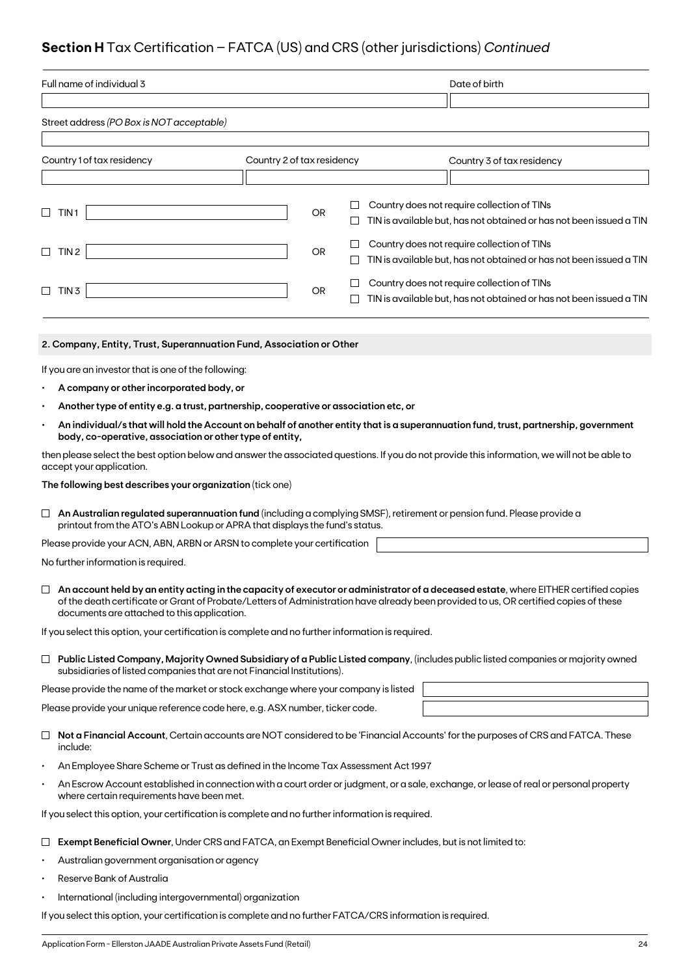## **Section H** Tax Certification – FATCA (US) and CRS (other jurisdictions) *Continued*

| Full name of individual 3                                                                                                                                                                                  |                            | Date of birth  |                                                                     |                                                                                                                                                                                                                                                                               |  |
|------------------------------------------------------------------------------------------------------------------------------------------------------------------------------------------------------------|----------------------------|----------------|---------------------------------------------------------------------|-------------------------------------------------------------------------------------------------------------------------------------------------------------------------------------------------------------------------------------------------------------------------------|--|
|                                                                                                                                                                                                            |                            |                |                                                                     |                                                                                                                                                                                                                                                                               |  |
| Street address (PO Box is NOT acceptable)                                                                                                                                                                  |                            |                |                                                                     |                                                                                                                                                                                                                                                                               |  |
|                                                                                                                                                                                                            |                            |                |                                                                     |                                                                                                                                                                                                                                                                               |  |
| Country 1 of tax residency                                                                                                                                                                                 | Country 2 of tax residency |                |                                                                     | Country 3 of tax residency                                                                                                                                                                                                                                                    |  |
|                                                                                                                                                                                                            |                            |                |                                                                     |                                                                                                                                                                                                                                                                               |  |
| □<br>TIN 1                                                                                                                                                                                                 |                            | ш<br><b>OR</b> |                                                                     | Country does not require collection of TINs<br>TIN is available but, has not obtained or has not been issued a TIN                                                                                                                                                            |  |
| TIN 2<br>$\Box$                                                                                                                                                                                            |                            | ⊔<br><b>OR</b> |                                                                     | Country does not require collection of TINs                                                                                                                                                                                                                                   |  |
|                                                                                                                                                                                                            |                            | $\Box$         |                                                                     | TIN is available but, has not obtained or has not been issued a TIN                                                                                                                                                                                                           |  |
| $\Box$ TIN 3                                                                                                                                                                                               |                            | OR             |                                                                     | Country does not require collection of TINs                                                                                                                                                                                                                                   |  |
|                                                                                                                                                                                                            |                            | ப              | TIN is available but, has not obtained or has not been issued a TIN |                                                                                                                                                                                                                                                                               |  |
|                                                                                                                                                                                                            |                            |                |                                                                     |                                                                                                                                                                                                                                                                               |  |
| 2. Company, Entity, Trust, Superannuation Fund, Association or Other                                                                                                                                       |                            |                |                                                                     |                                                                                                                                                                                                                                                                               |  |
| If you are an investor that is one of the following:                                                                                                                                                       |                            |                |                                                                     |                                                                                                                                                                                                                                                                               |  |
| A company or other incorporated body, or                                                                                                                                                                   |                            |                |                                                                     |                                                                                                                                                                                                                                                                               |  |
| Another type of entity e.g. a trust, partnership, cooperative or association etc, or                                                                                                                       |                            |                |                                                                     |                                                                                                                                                                                                                                                                               |  |
| body, co-operative, association or other type of entity,                                                                                                                                                   |                            |                |                                                                     | An individual/s that will hold the Account on behalf of another entity that is a superannuation fund, trust, partnership, government                                                                                                                                          |  |
| accept your application.                                                                                                                                                                                   |                            |                |                                                                     | then please select the best option below and answer the associated questions. If you do not provide this information, we will not be able to                                                                                                                                  |  |
| The following best describes your organization (tick one)                                                                                                                                                  |                            |                |                                                                     |                                                                                                                                                                                                                                                                               |  |
| An Australian regulated superannuation fund (including a complying SMSF), retirement or pension fund. Please provide a<br>⊔<br>printout from the ATO's ABN Lookup or APRA that displays the fund's status. |                            |                |                                                                     |                                                                                                                                                                                                                                                                               |  |
| Please provide your ACN, ABN, ARBN or ARSN to complete your certification                                                                                                                                  |                            |                |                                                                     |                                                                                                                                                                                                                                                                               |  |
| No further information is required.                                                                                                                                                                        |                            |                |                                                                     |                                                                                                                                                                                                                                                                               |  |
| documents are attached to this application.                                                                                                                                                                |                            |                |                                                                     | An account held by an entity acting in the capacity of executor or administrator of a deceased estate, where EITHER certified copies<br>of the death certificate or Grant of Probate/Letters of Administration have already been provided to us, OR certified copies of these |  |
| If you select this option, your certification is complete and no further information is required.                                                                                                          |                            |                |                                                                     |                                                                                                                                                                                                                                                                               |  |
| subsidiaries of listed companies that are not Financial Institutions).                                                                                                                                     |                            |                |                                                                     | $\Box$ Public Listed Company, Majority Owned Subsidiary of a Public Listed company, (includes public listed companies or majority owned                                                                                                                                       |  |
| Please provide the name of the market or stock exchange where your company is listed                                                                                                                       |                            |                |                                                                     |                                                                                                                                                                                                                                                                               |  |
| Please provide your unique reference code here, e.g. ASX number, ticker code.                                                                                                                              |                            |                |                                                                     |                                                                                                                                                                                                                                                                               |  |
| include:                                                                                                                                                                                                   |                            |                |                                                                     | Not a Financial Account, Certain accounts are NOT considered to be 'Financial Accounts' for the purposes of CRS and FATCA. These                                                                                                                                              |  |
| An Employee Share Scheme or Trust as defined in the Income Tax Assessment Act 1997<br>$\bullet$                                                                                                            |                            |                |                                                                     |                                                                                                                                                                                                                                                                               |  |
| where certain requirements have been met.                                                                                                                                                                  |                            |                |                                                                     | An Escrow Account established in connection with a court order or judgment, or a sale, exchange, or lease of real or personal property                                                                                                                                        |  |
| If you select this option, your certification is complete and no further information is required.                                                                                                          |                            |                |                                                                     |                                                                                                                                                                                                                                                                               |  |
| Exempt Beneficial Owner, Under CRS and FATCA, an Exempt Beneficial Owner includes, but is not limited to:                                                                                                  |                            |                |                                                                     |                                                                                                                                                                                                                                                                               |  |

- Australian government organisation or agency
- Reserve Bank of Australia
- International (including intergovernmental) organization

If you select this option, your certification is complete and no further FATCA/CRS information is required.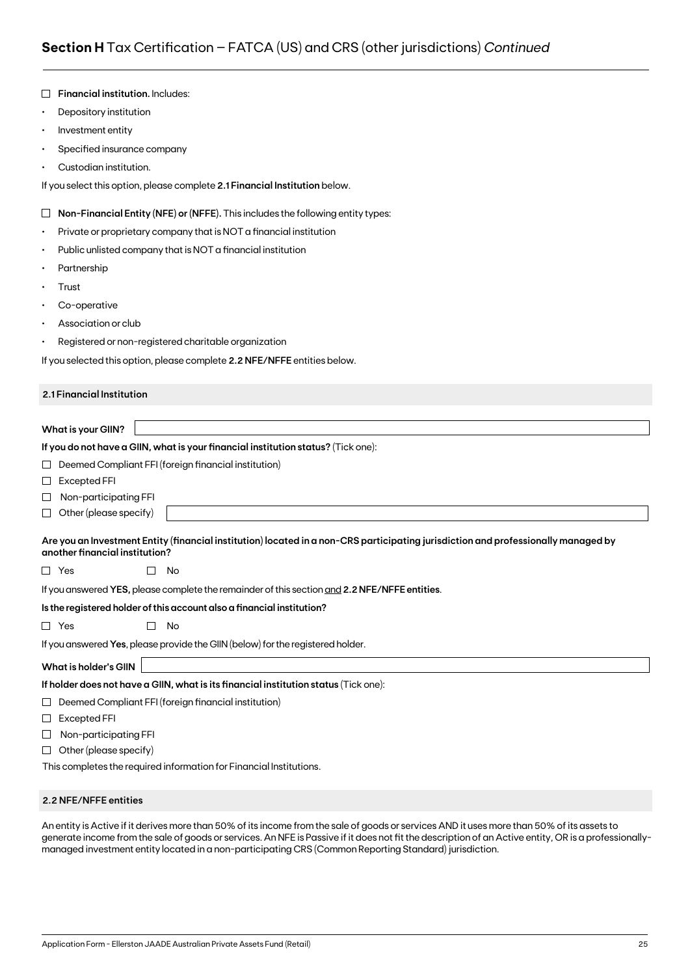|           | <b>Financial institution. Includes:</b>                                                                                                                              |
|-----------|----------------------------------------------------------------------------------------------------------------------------------------------------------------------|
| $\bullet$ | Depository institution                                                                                                                                               |
| $\bullet$ | Investment entity                                                                                                                                                    |
| ٠         | Specified insurance company                                                                                                                                          |
|           | Custodian institution.                                                                                                                                               |
|           | If you select this option, please complete 2.1 Financial Institution below.                                                                                          |
| $\Box$    | Non-Financial Entity (NFE) or (NFFE). This includes the following entity types:                                                                                      |
| ٠         | Private or proprietary company that is NOT a financial institution                                                                                                   |
| ٠         | Public unlisted company that is NOT a financial institution                                                                                                          |
|           | Partnership                                                                                                                                                          |
| ٠         | Trust                                                                                                                                                                |
| ٠         | Co-operative                                                                                                                                                         |
|           | Association or club                                                                                                                                                  |
| ٠         | Registered or non-registered charitable organization                                                                                                                 |
|           | If you selected this option, please complete 2.2 NFE/NFFE entities below.                                                                                            |
|           | 2.1 Financial Institution                                                                                                                                            |
|           |                                                                                                                                                                      |
|           | <b>What is your GIIN?</b>                                                                                                                                            |
|           | If you do not have a GIIN, what is your financial institution status? (Tick one):                                                                                    |
| ப         | Deemed Compliant FFI (foreign financial institution)                                                                                                                 |
| $\sqcup$  | <b>Excepted FFI</b>                                                                                                                                                  |
| ⊔         | Non-participating FFI                                                                                                                                                |
| ⊔         | Other (please specify)                                                                                                                                               |
|           | Are you an Investment Entity (financial institution) located in a non-CRS participating jurisdiction and professionally managed by<br>another financial institution? |
|           | $\Box$ Yes<br>No                                                                                                                                                     |
|           | If you answered YES, please complete the remainder of this section and 2.2 NFE/NFFE entities.                                                                        |
|           | Is the registered holder of this account also a financial institution?                                                                                               |
|           | $\Box$ Yes<br>П<br>No                                                                                                                                                |
|           | If you answered Yes, please provide the GIIN (below) for the registered holder.                                                                                      |
|           | <b>What is holder's GIIN</b>                                                                                                                                         |
|           | If holder does not have a GIIN, what is its financial institution status (Tick one):                                                                                 |
| ⊔         | Deemed Compliant FFI (foreign financial institution)                                                                                                                 |
| ⊔         | Excepted FFI                                                                                                                                                         |
| ⊔         | Non-participating FFI                                                                                                                                                |
| ⊔         | Other (please specify)                                                                                                                                               |
|           | This completes the required information for Financial Institutions.                                                                                                  |

#### **2.2 NFE/NFFE entities**

An entity is Active if it derives more than 50% of its income from the sale of goods or services AND it uses more than 50% of its assets to generate income from the sale of goods or services. An NFE is Passive if it does not fit the description of an Active entity, OR is a professionallymanaged investment entity located in a non-participating CRS (Common Reporting Standard) jurisdiction.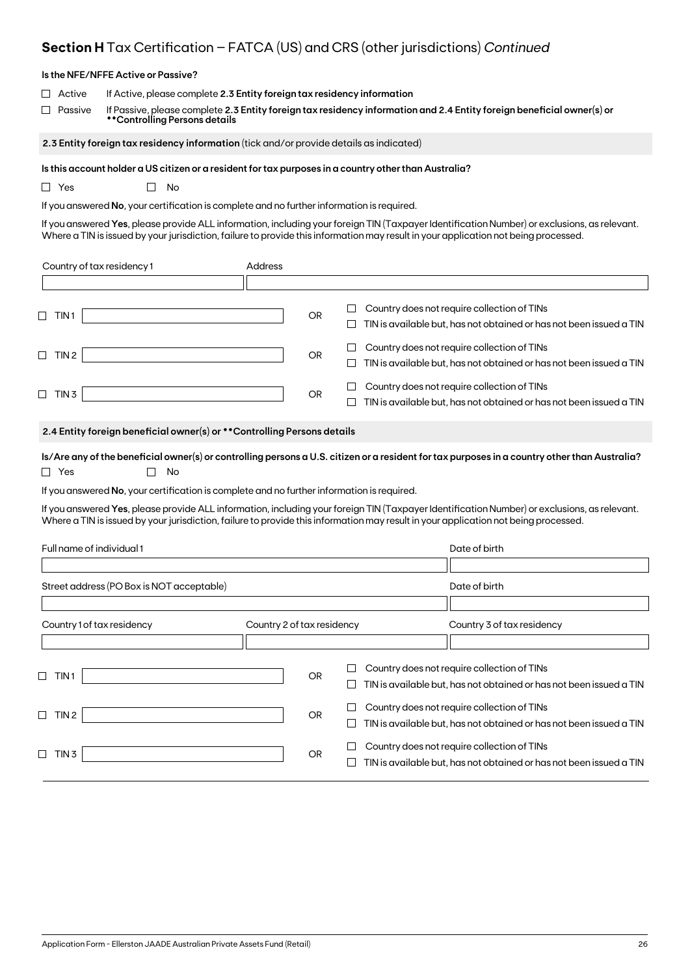# **Section H** Tax Certification – FATCA (US) and CRS (other jurisdictions) *Continued*

| Is the NFE/NFFE Active or Passive?                                                                                                                                                                                                                                                                                                                                                                                                                                                                                             |                                                                                                                                                                                                   |           |                  |                                                                                                                    |  |  |  |  |  |  |
|--------------------------------------------------------------------------------------------------------------------------------------------------------------------------------------------------------------------------------------------------------------------------------------------------------------------------------------------------------------------------------------------------------------------------------------------------------------------------------------------------------------------------------|---------------------------------------------------------------------------------------------------------------------------------------------------------------------------------------------------|-----------|------------------|--------------------------------------------------------------------------------------------------------------------|--|--|--|--|--|--|
| Active<br>$\perp$<br>Passive<br>$\perp$<br>**Controlling Persons details                                                                                                                                                                                                                                                                                                                                                                                                                                                       | If Active, please complete 2.3 Entity foreign tax residency information<br>If Passive, please complete 2.3 Entity foreign tax residency information and 2.4 Entity foreign beneficial owner(s) or |           |                  |                                                                                                                    |  |  |  |  |  |  |
| 2.3 Entity foreign tax residency information (tick and/or provide details as indicated)                                                                                                                                                                                                                                                                                                                                                                                                                                        |                                                                                                                                                                                                   |           |                  |                                                                                                                    |  |  |  |  |  |  |
| Is this account holder a US citizen or a resident for tax purposes in a country other than Australia?<br>$\Box$ Yes<br>No<br>$\mathsf{L}$<br>If you answered No, your certification is complete and no further information is required.<br>If you answered Yes, please provide ALL information, including your foreign TIN (Taxpayer Identification Number) or exclusions, as relevant.<br>Where a TIN is issued by your jurisdiction, failure to provide this information may result in your application not being processed. |                                                                                                                                                                                                   |           |                  |                                                                                                                    |  |  |  |  |  |  |
| Country of tax residency 1                                                                                                                                                                                                                                                                                                                                                                                                                                                                                                     | Address                                                                                                                                                                                           |           |                  |                                                                                                                    |  |  |  |  |  |  |
|                                                                                                                                                                                                                                                                                                                                                                                                                                                                                                                                |                                                                                                                                                                                                   |           |                  |                                                                                                                    |  |  |  |  |  |  |
| $\Box$ TIN1                                                                                                                                                                                                                                                                                                                                                                                                                                                                                                                    |                                                                                                                                                                                                   | OR        | $\Box$<br>$\Box$ | Country does not require collection of TINs<br>TIN is available but, has not obtained or has not been issued a TIN |  |  |  |  |  |  |
| $\Box$ TIN 2                                                                                                                                                                                                                                                                                                                                                                                                                                                                                                                   |                                                                                                                                                                                                   | <b>OR</b> |                  | Country does not require collection of TINs<br>TIN is available but, has not obtained or has not been issued a TIN |  |  |  |  |  |  |
| $\Box$ TIN 3                                                                                                                                                                                                                                                                                                                                                                                                                                                                                                                   |                                                                                                                                                                                                   | OR.       |                  | Country does not require collection of TINs<br>TIN is available but, has not obtained or has not been issued a TIN |  |  |  |  |  |  |
| 2.4 Entity foreign beneficial owner(s) or ** Controlling Persons details                                                                                                                                                                                                                                                                                                                                                                                                                                                       |                                                                                                                                                                                                   |           |                  |                                                                                                                    |  |  |  |  |  |  |
| Is/Are any of the beneficial owner(s) or controlling persons a U.S. citizen or a resident for tax purposes in a country other than Australia?<br>$\Box$ Yes<br>No<br>$\Box$                                                                                                                                                                                                                                                                                                                                                    |                                                                                                                                                                                                   |           |                  |                                                                                                                    |  |  |  |  |  |  |
| If you answered No, your certification is complete and no further information is required.                                                                                                                                                                                                                                                                                                                                                                                                                                     |                                                                                                                                                                                                   |           |                  |                                                                                                                    |  |  |  |  |  |  |
| If you answered Yes, please provide ALL information, including your foreign TIN (Taxpayer Identification Number) or exclusions, as relevant.<br>Where a TIN is issued by your jurisdiction, failure to provide this information may result in your application not being processed.                                                                                                                                                                                                                                            |                                                                                                                                                                                                   |           |                  |                                                                                                                    |  |  |  |  |  |  |
| Full name of individual 1                                                                                                                                                                                                                                                                                                                                                                                                                                                                                                      |                                                                                                                                                                                                   |           |                  | Date of birth                                                                                                      |  |  |  |  |  |  |
|                                                                                                                                                                                                                                                                                                                                                                                                                                                                                                                                |                                                                                                                                                                                                   |           |                  |                                                                                                                    |  |  |  |  |  |  |
| Street address (PO Box is NOT acceptable)                                                                                                                                                                                                                                                                                                                                                                                                                                                                                      |                                                                                                                                                                                                   |           |                  | Date of birth                                                                                                      |  |  |  |  |  |  |
|                                                                                                                                                                                                                                                                                                                                                                                                                                                                                                                                |                                                                                                                                                                                                   |           |                  |                                                                                                                    |  |  |  |  |  |  |
| Country 1 of tax residency                                                                                                                                                                                                                                                                                                                                                                                                                                                                                                     | Country 2 of tax residency                                                                                                                                                                        |           |                  | Country 3 of tax residency                                                                                         |  |  |  |  |  |  |
| $\Box$<br>TIN 1                                                                                                                                                                                                                                                                                                                                                                                                                                                                                                                |                                                                                                                                                                                                   | <b>OR</b> | ⊔                | Country does not require collection of TINs<br>TIN is available but, has not obtained or has not been issued a TIN |  |  |  |  |  |  |
| $\Box$ TIN 2                                                                                                                                                                                                                                                                                                                                                                                                                                                                                                                   |                                                                                                                                                                                                   | OR        | $\Box$<br>$\Box$ | Country does not require collection of TINs<br>TIN is available but, has not obtained or has not been issued a TIN |  |  |  |  |  |  |
| $\Box$ TIN 3                                                                                                                                                                                                                                                                                                                                                                                                                                                                                                                   |                                                                                                                                                                                                   | <b>OR</b> | ⊔                | Country does not require collection of TINs<br>TIN is available but, has not obtained or has not been issued a TIN |  |  |  |  |  |  |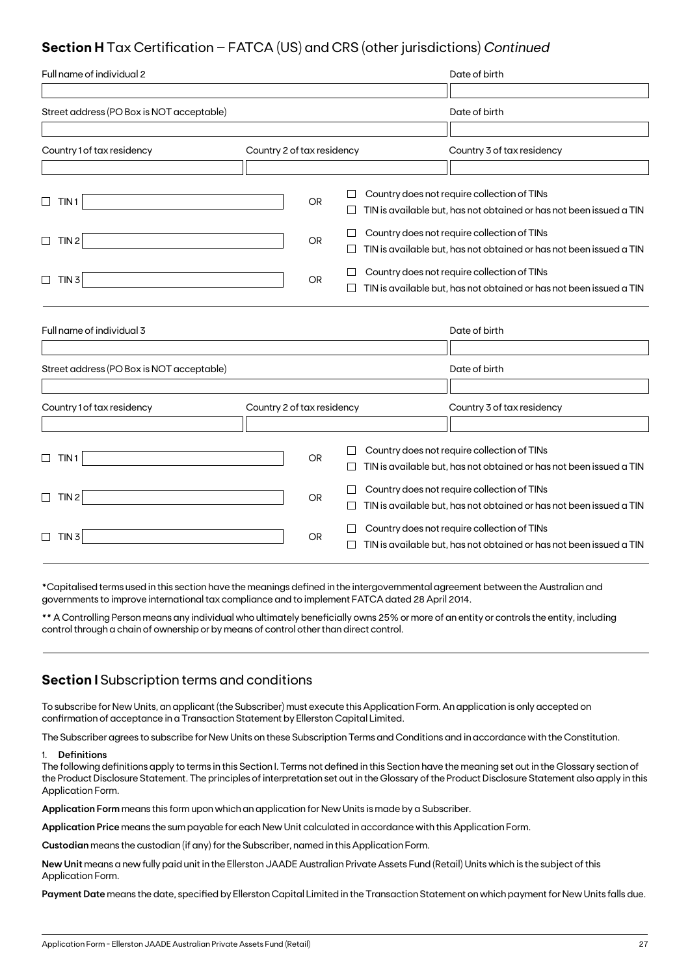## **Section H** Tax Certification – FATCA (US) and CRS (other jurisdictions) *Continued*

| Full name of individual 2                 |                            |           |              | Date of birth                                                                                                      |
|-------------------------------------------|----------------------------|-----------|--------------|--------------------------------------------------------------------------------------------------------------------|
|                                           |                            |           |              |                                                                                                                    |
| Street address (PO Box is NOT acceptable) |                            |           |              | Date of birth                                                                                                      |
|                                           |                            |           |              |                                                                                                                    |
| Country 1 of tax residency                | Country 2 of tax residency |           |              | Country 3 of tax residency                                                                                         |
|                                           |                            |           |              |                                                                                                                    |
| TIN <sub>1</sub><br>$\Box$                |                            | <b>OR</b> |              | Country does not require collection of TINs                                                                        |
|                                           |                            |           |              | TIN is available but, has not obtained or has not been issued a TIN                                                |
| TIN <sub>2</sub><br>$\Box$                |                            | OR        |              | Country does not require collection of TINs                                                                        |
|                                           |                            |           |              | TIN is available but, has not obtained or has not been issued a TIN                                                |
| TIN <sub>3</sub><br>$\Box$                |                            | <b>OR</b> |              | Country does not require collection of TINs                                                                        |
|                                           |                            |           |              | TIN is available but, has not obtained or has not been issued a TIN                                                |
|                                           |                            |           |              |                                                                                                                    |
| Full name of individual 3                 |                            |           |              | Date of birth                                                                                                      |
|                                           |                            |           |              |                                                                                                                    |
| Street address (PO Box is NOT acceptable) |                            |           |              | Date of birth                                                                                                      |
|                                           |                            |           |              |                                                                                                                    |
| Country 1 of tax residency                | Country 2 of tax residency |           |              | Country 3 of tax residency                                                                                         |
|                                           |                            |           |              |                                                                                                                    |
| TIN1<br>⊔                                 |                            | <b>OR</b> |              | Country does not require collection of TINs<br>TIN is available but, has not obtained or has not been issued a TIN |
| TIN 2<br>$\Box$                           |                            | <b>OR</b> | $\mathbf{L}$ | Country does not require collection of TINs<br>TIN is available but, has not obtained or has not been issued a TIN |
| TIN <sub>3</sub>                          |                            | <b>OR</b> |              | Country does not require collection of TINs<br>TIN is available but, has not obtained or has not been issued a TIN |

\*Capitalised terms used in this section have the meanings defined in the intergovernmental agreement between the Australian and governments to improve international tax compliance and to implement FATCA dated 28 April 2014.

\*\* A Controlling Person means any individual who ultimately beneficially owns 25% or more of an entity or controls the entity, including control through a chain of ownership or by means of control other than direct control.

## **Section I** Subscription terms and conditions

To subscribe for New Units, an applicant (the Subscriber) must execute this Application Form. An application is only accepted on confirmation of acceptance in a Transaction Statement by Ellerston Capital Limited.

The Subscriber agrees to subscribe for New Units on these Subscription Terms and Conditions and in accordance with the Constitution.

#### 1. **Definitions**

The following definitions apply to terms in this Section I. Terms not defined in this Section have the meaning set out in the Glossary section of the Product Disclosure Statement. The principles of interpretation set out in the Glossary of the Product Disclosure Statement also apply in this Application Form.

**Application Form** means this form upon which an application for New Units is made by a Subscriber.

**Application Price** means the sum payable for each New Unit calculated in accordance with this Application Form.

**Custodian** means the custodian (if any) for the Subscriber, named in this Application Form.

**New Unit** means a new fully paid unit in the Ellerston JAADE Australian Private Assets Fund (Retail) Units which is the subject of this Application Form.

**Payment Date** means the date, specified by Ellerston Capital Limited in the Transaction Statement on which payment for New Units falls due.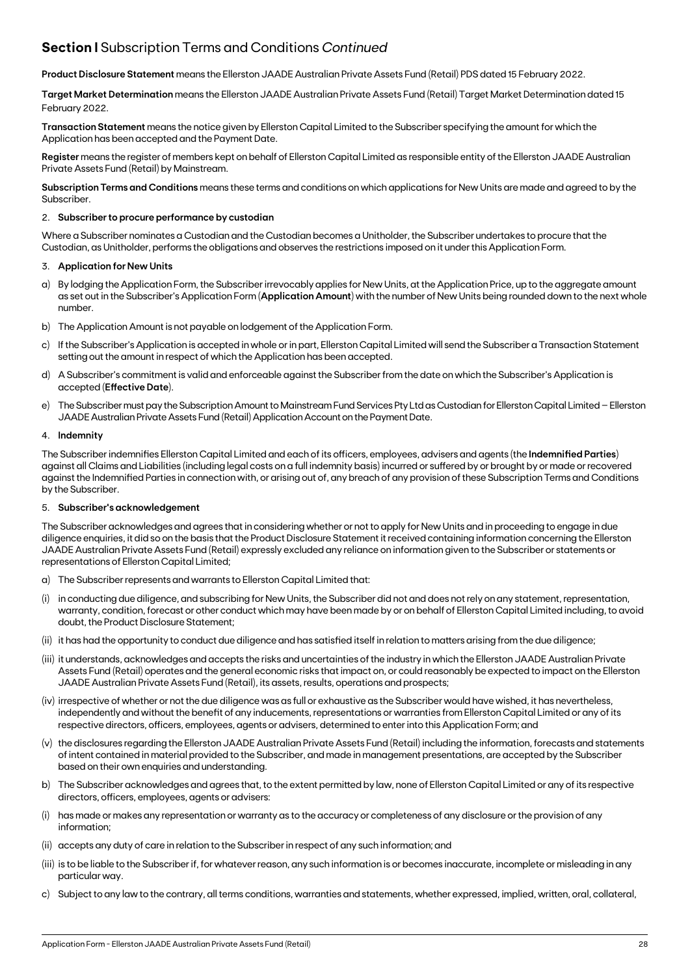## **Section I** Subscription Terms and Conditions *Continued*

**Product Disclosure Statement** means the Ellerston JAADE Australian Private Assets Fund (Retail) PDS dated 15 February 2022.

**Target MarketDetermination** means the Ellerston JAADE Australian Private Assets Fund (Retail) Target Market Determination dated 15 February 2022.

**Transaction Statement** means the notice given by Ellerston Capital Limited to the Subscriber specifying the amount for which the Application has been accepted and the Payment Date.

**Register** means the register of members kept on behalf of Ellerston Capital Limited as responsible entity of the Ellerston JAADE Australian Private Assets Fund (Retail) by Mainstream.

**Subscription Terms and Conditions** means these terms and conditions on which applications for New Units are made and agreed to by the Subscriber.

#### 2. **Subscriber to procure performance by custodian**

Where a Subscriber nominates a Custodian and the Custodian becomes a Unitholder, the Subscriber undertakes to procure that the Custodian, as Unitholder, performs the obligations and observes the restrictions imposed on it under this Application Form.

#### 3. **Application for New Units**

- a) By lodging the Application Form, the Subscriber irrevocably applies for New Units, at the Application Price, up to the aggregate amount as set out in the Subscriber's Application Form (**Application Amount**) with the number of New Units being rounded down to the next whole number.
- b) The Application Amount is not payable on lodgement of the Application Form.
- c) If the Subscriber's Application is accepted in whole or in part, Ellerston Capital Limited will send the Subscriber a Transaction Statement setting out the amount in respect of which the Application has been accepted.
- d) A Subscriber's commitment is valid and enforceable against the Subscriber from the date on which the Subscriber's Application is accepted (**Effective Date**).
- e) The Subscriber must pay the Subscription Amount to Mainstream Fund Services Pty Ltd as Custodian for Ellerston Capital Limited Ellerston JAADE Australian Private Assets Fund (Retail) Application Account on the Payment Date.

#### 4. **Indemnity**

The Subscriber indemnifies Ellerston Capital Limited and each of its officers, employees, advisers and agents (the **Indemnified Parties**) against all Claims and Liabilities (including legal costs on a full indemnity basis) incurred or suffered by or brought by or made or recovered against the Indemnified Parties in connection with, or arising out of, any breach of any provision of these Subscription Terms and Conditions by the Subscriber.

#### 5. **Subscriber's acknowledgement**

The Subscriber acknowledges and agrees that in considering whether or not to apply for New Units and in proceeding to engage in due diligence enquiries, it did so on the basis that the Product Disclosure Statement it received containing information concerning the Ellerston JAADE Australian Private Assets Fund (Retail) expressly excluded any reliance on information given to the Subscriber or statements or representations of Ellerston Capital Limited;

- a) The Subscriber represents and warrants to Ellerston Capital Limited that:
- (i) in conducting due diligence, and subscribing for New Units, the Subscriber did not and does not rely on any statement, representation, warranty, condition, forecast or other conduct which may have been made by or on behalf of Ellerston Capital Limited including, to avoid doubt, the Product Disclosure Statement;
- (ii) it has had the opportunity to conduct due diligence and has satisfied itself in relation to matters arising from the due diligence;
- (iii) it understands, acknowledges and accepts the risks and uncertainties of the industry in which the Ellerston JAADE Australian Private Assets Fund (Retail) operates and the general economic risks that impact on, or could reasonably be expected to impact on the Ellerston JAADE Australian Private Assets Fund (Retail), its assets, results, operations and prospects;
- (iv) irrespective of whether or not the due diligence was as full or exhaustive as the Subscriber would have wished, it has nevertheless, independently and without the benefit of any inducements, representations or warranties from Ellerston Capital Limited or any of its respective directors, officers, employees, agents or advisers, determined to enter into this Application Form; and
- (v) the disclosures regarding the Ellerston JAADE Australian Private Assets Fund (Retail) including the information, forecasts and statements of intent contained in material provided to the Subscriber, and made in management presentations, are accepted by the Subscriber based on their own enquiries and understanding.
- b) The Subscriber acknowledges and agrees that, to the extent permitted by law, none of Ellerston Capital Limited or any of its respective directors, officers, employees, agents or advisers:
- (i) has made or makes any representation or warranty as to the accuracy or completeness of any disclosure or the provision of any information;
- (ii) accepts any duty of care in relation to the Subscriber in respect of any such information; and
- (iii) is to be liable to the Subscriber if, for whatever reason, any such information is or becomes inaccurate, incomplete or misleading in any particular way.
- c) Subject to any law to the contrary, all terms conditions, warranties and statements, whether expressed, implied, written, oral, collateral,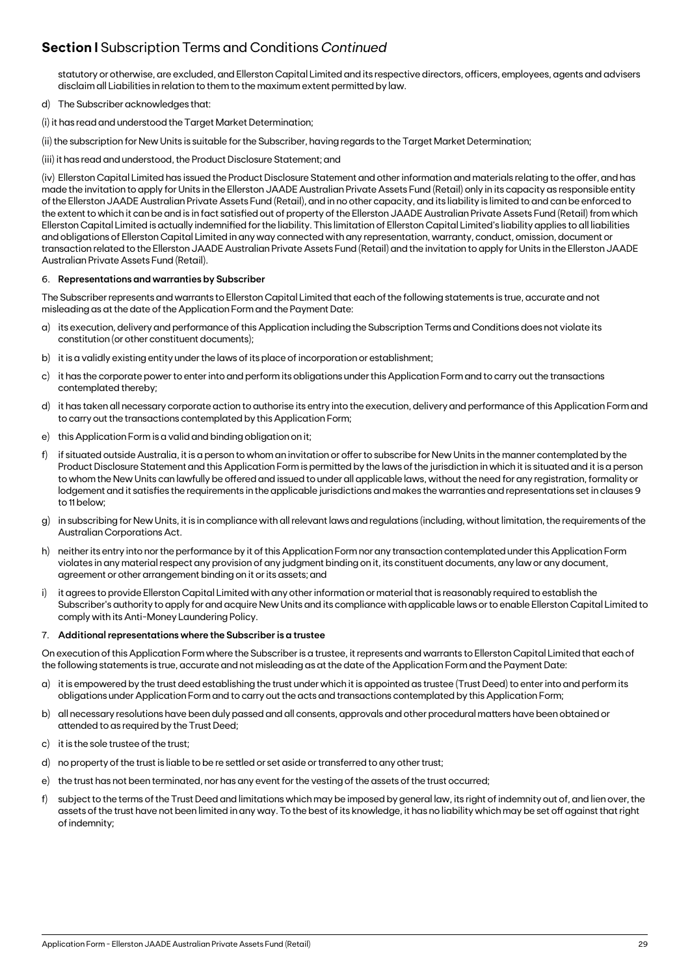## **Section I** Subscription Terms and Conditions *Continued*

statutory or otherwise, are excluded, and Ellerston Capital Limited and its respective directors, officers, employees, agents and advisers disclaim all Liabilities in relation to them to the maximum extent permitted by law.

- d) The Subscriber acknowledges that:
- (i) it has read and understood the Target Market Determination;
- (ii) the subscription for New Units is suitable for the Subscriber, having regards to the Target Market Determination;
- (iii) it has read and understood, the Product Disclosure Statement; and

(iv) Ellerston Capital Limited has issued the Product Disclosure Statement and other information and materials relating to the offer, and has made the invitation to apply for Units in the Ellerston JAADE Australian Private Assets Fund (Retail) only in its capacity as responsible entity of the Ellerston JAADE Australian Private Assets Fund (Retail), and in no other capacity, and its liability is limited to and can be enforced to the extent to which it can be and is in fact satisfied out of property of the Ellerston JAADE Australian Private Assets Fund (Retail) from which Ellerston Capital Limited is actually indemnified for the liability. This limitation of Ellerston Capital Limited's liability applies to all liabilities and obligations of Ellerston Capital Limited in any way connected with any representation, warranty, conduct, omission, document or transaction related to the Ellerston JAADE Australian Private Assets Fund (Retail) and the invitation to apply for Units in the Ellerston JAADE Australian Private Assets Fund (Retail).

#### 6. **Representations and warranties by Subscriber**

The Subscriber represents and warrants to Ellerston Capital Limited that each of the following statements is true, accurate and not misleading as at the date of the Application Form and the Payment Date:

- a) its execution, delivery and performance of this Application including the Subscription Terms and Conditions does not violate its constitution (or other constituent documents);
- b) it is a validly existing entity under the laws of its place of incorporation or establishment;
- c) it has the corporate power to enter into and perform its obligations under this Application Form and to carry out the transactions contemplated thereby;
- d) it has taken all necessary corporate action to authorise its entry into the execution, delivery and performance of this Application Form and to carry out the transactions contemplated by this Application Form;
- e) this Application Form is a valid and binding obligation on it;
- f) if situated outside Australia, it is a person to whom an invitation or offer to subscribe for New Units in the manner contemplated by the Product Disclosure Statement and this Application Form is permitted by the laws of the jurisdiction in which it is situated and it is a person to whom the New Units can lawfully be offered and issued to under all applicable laws, without the need for any registration, formality or lodgement and it satisfies the requirements in the applicable jurisdictions and makes the warranties and representations set in clauses 9 to 11 below;
- g) in subscribing for New Units, it is in compliance with all relevant laws and regulations (including, without limitation, the requirements of the Australian Corporations Act.
- h) neither its entry into nor the performance by it of this Application Form nor any transaction contemplated under this Application Form violates in any material respect any provision of any judgment binding on it, its constituent documents, any law or any document, agreement or other arrangement binding on it or its assets; and
- i) it agrees to provide Ellerston Capital Limited with any other information or material that is reasonably required to establish the Subscriber's authority to apply for and acquire New Units and its compliance with applicable laws or to enable Ellerston Capital Limited to comply with its Anti-Money Laundering Policy.

#### 7. **Additional representations where the Subscriber is a trustee**

On execution of this Application Form where the Subscriber is a trustee, it represents and warrants to Ellerston Capital Limited that each of the following statements is true, accurate and not misleading as at the date of the Application Form and the Payment Date:

- a) it is empowered by the trust deed establishing the trust under which it is appointed as trustee (Trust Deed) to enter into and perform its obligations under Application Form and to carry out the acts and transactions contemplated by this Application Form;
- b) all necessary resolutions have been duly passed and all consents, approvals and other procedural matters have been obtained or attended to as required by the Trust Deed;
- c) it is the sole trustee of the trust;
- d) no property of the trust is liable to be re settled or set aside or transferred to any other trust;
- e) the trust has not been terminated, nor has any event for the vesting of the assets of the trust occurred;
- f) subject to the terms of the Trust Deed and limitations which may be imposed by general law, its right of indemnity out of, and lien over, the assets of the trust have not been limited in any way. To the best of its knowledge, it has no liability which may be set off against that right of indemnity;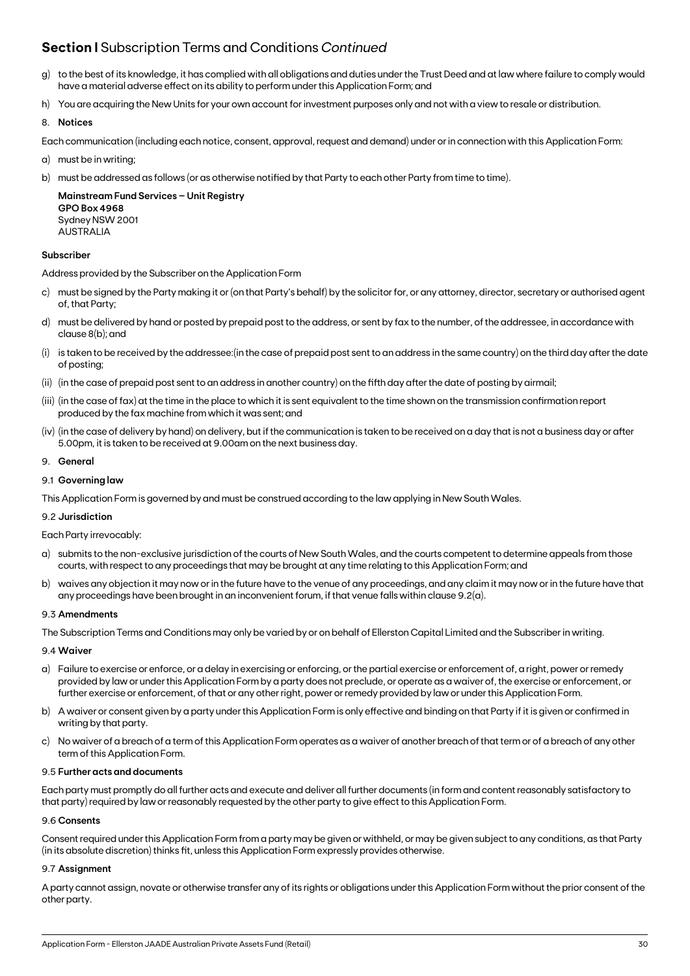## **Section I** Subscription Terms and Conditions *Continued*

- g) to the best of its knowledge, it has complied with all obligations and duties under the Trust Deed and at law where failure to comply would have a material adverse effect on its ability to perform under this Application Form; and
- h) You are acquiring the New Units for your own account for investment purposes only and not with a view to resale or distribution.

#### 8. **Notices**

Each communication (including each notice, consent, approval, request and demand) under or in connection with this Application Form:

- a) must be in writing;
- b) must be addressed as follows (or as otherwise notified by that Party to each other Party from time to time).

**Mainstream Fund Services – Unit Registry GPO Box 4968** Sydney NSW 2001 AUSTRALIA

#### **Subscriber**

Address provided by the Subscriber on the Application Form

- c) must be signed by the Party making it or (on that Party's behalf) by the solicitor for, or any attorney, director, secretary or authorised agent of, that Party;
- d) must be delivered by hand or posted by prepaid post to the address, or sent by fax to the number, of the addressee, in accordance with clause 8(b); and
- (i) is taken to be received by the addressee:(in the case of prepaid post sent to an address in the same country) on the third day after the date of posting;
- (ii) (in the case of prepaid post sent to an address in another country) on the fifth day after the date of posting by airmail;
- (iii) (in the case of fax) at the time in the place to which it is sent equivalent to the time shown on the transmission confirmation report produced by the fax machine from which it was sent; and
- (iv) (in the case of delivery by hand) on delivery, but if the communication is taken to be received on a day that is not a business day or after 5.00pm, it is taken to be received at 9.00am on the next business day.

#### 9. **General**

#### 9.1 **Governing law**

This Application Form is governed by and must be construed according to the law applying in New South Wales.

#### 9.2 **Jurisdiction**

Each Party irrevocably:

- a) submits to the non-exclusive jurisdiction of the courts of New South Wales, and the courts competent to determine appeals from those courts, with respect to any proceedings that may be brought at any time relating to this Application Form; and
- b) waives any objection it may now or in the future have to the venue of any proceedings, and any claim it may now or in the future have that any proceedings have been brought in an inconvenient forum, if that venue falls within clause 9.2(a).

#### 9.3 **Amendments**

The Subscription Terms and Conditions may only be varied by or on behalf of Ellerston Capital Limited and the Subscriber in writing.

#### 9.4 **Waiver**

- a) Failure to exercise or enforce, or a delay in exercising or enforcing, or the partial exercise or enforcement of, a right, power or remedy provided by law or under this Application Form by a party does not preclude, or operate as a waiver of, the exercise or enforcement, or further exercise or enforcement, of that or any other right, power or remedy provided by law or under this Application Form.
- b) A waiver or consent given by a party under this Application Form is only effective and binding on that Party if it is given or confirmed in writing by that party.
- c) No waiver of a breach of a term of this Application Form operates as a waiver of another breach of that term or of a breach of any other term of this Application Form.

#### 9.5 **Further acts and documents**

Each party must promptly do all further acts and execute and deliver all further documents (in form and content reasonably satisfactory to that party) required by law or reasonably requested by the other party to give effect to this Application Form.

#### 9.6 **Consents**

Consent required under this Application Form from a party may be given or withheld, or may be given subject to any conditions, as that Party (in its absolute discretion) thinks fit, unless this Application Form expressly provides otherwise.

#### 9.7 **Assignment**

A party cannot assign, novate or otherwise transfer any of its rights or obligations under this Application Form without the prior consent of the other party.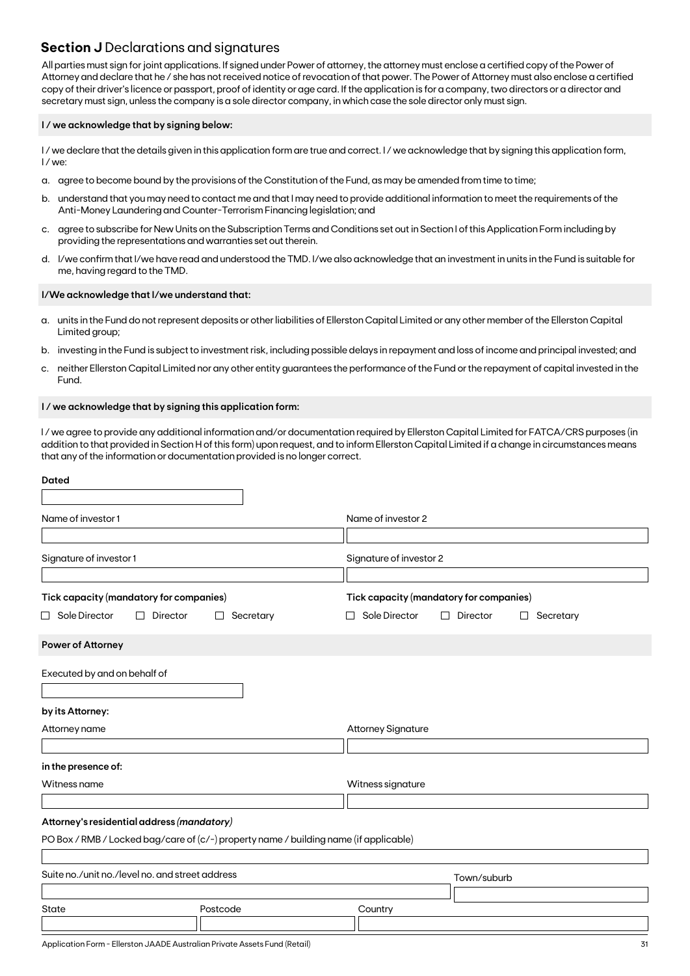## **Section J** Declarations and signatures

All parties must sign for joint applications. If signed under Power of attorney, the attorney must enclose a certified copy of the Power of Attorney and declare that he / she has not received notice of revocation of that power. The Power of Attorney must also enclose a certified copy of their driver's licence or passport, proof of identity or age card. If the application is for a company, two directors or a director and secretary must sign, unless the company is a sole director company, in which case the sole director only must sign.

#### **I / we acknowledge that by signing below:**

I/we declare that the details given in this application form are true and correct. I/we acknowledge that by signing this application form, I / we:

- a. agree to become bound by the provisions of the Constitution of the Fund, as may be amended from time to time;
- b. understand that you may need to contact me and that I may need to provide additional information to meet the requirements of the Anti-Money Laundering and Counter-Terrorism Financing legislation; and
- c. agree to subscribe for New Units on the Subscription Terms and Conditions set out in Section I of this Application Form including by providing the representations and warranties set out therein.
- d. I/we confirm that I/we have read and understood the TMD. I/we also acknowledge that an investment in units in the Fund is suitable for me, having regard to the TMD.

#### **I/We acknowledge that I/we understand that:**

- a. units in the Fund do not represent deposits or other liabilities of Ellerston Capital Limited or any other member of the Ellerston Capital Limited group;
- b. investing in the Fund is subject to investment risk, including possible delays in repayment and loss of income and principal invested; and
- c. neither Ellerston Capital Limited nor any other entity guarantees the performance of the Fund or the repayment of capital invested in the Fund.

#### **I / we acknowledge that by signing this application form:**

I / we agree to provide any additional information and/or documentation required by Ellerston Capital Limited for FATCA/CRS purposes (in addition to that provided in Section H of this form) upon request, and to inform Ellerston Capital Limited if a change in circumstances means that any of the information or documentation provided is no longer correct.

| <b>Dated</b>                                                                     |                                                                                       |                                                                                                        |  |
|----------------------------------------------------------------------------------|---------------------------------------------------------------------------------------|--------------------------------------------------------------------------------------------------------|--|
| Name of investor 1                                                               |                                                                                       | Name of investor 2                                                                                     |  |
| Signature of investor 1                                                          |                                                                                       | Signature of investor 2                                                                                |  |
| Tick capacity (mandatory for companies)<br>$\Box$ Sole Director<br>Director<br>П | Secretary<br>⊔                                                                        | Tick capacity (mandatory for companies)<br>Sole Director<br>Director<br>Secretary<br>□<br>ப<br>$\perp$ |  |
| <b>Power of Attorney</b>                                                         |                                                                                       |                                                                                                        |  |
| Executed by and on behalf of                                                     |                                                                                       |                                                                                                        |  |
| by its Attorney:                                                                 |                                                                                       |                                                                                                        |  |
| Attorney name                                                                    |                                                                                       | <b>Attorney Signature</b>                                                                              |  |
| in the presence of:                                                              |                                                                                       |                                                                                                        |  |
| Witness name                                                                     |                                                                                       | Witness signature                                                                                      |  |
| Attorney's residential address (mandatory)                                       |                                                                                       |                                                                                                        |  |
|                                                                                  | PO Box / RMB / Locked bag/care of (c/-) property name / building name (if applicable) |                                                                                                        |  |
| Suite no./unit no./level no. and street address                                  |                                                                                       | Town/suburb                                                                                            |  |
| State                                                                            | Postcode                                                                              | Country                                                                                                |  |
|                                                                                  |                                                                                       |                                                                                                        |  |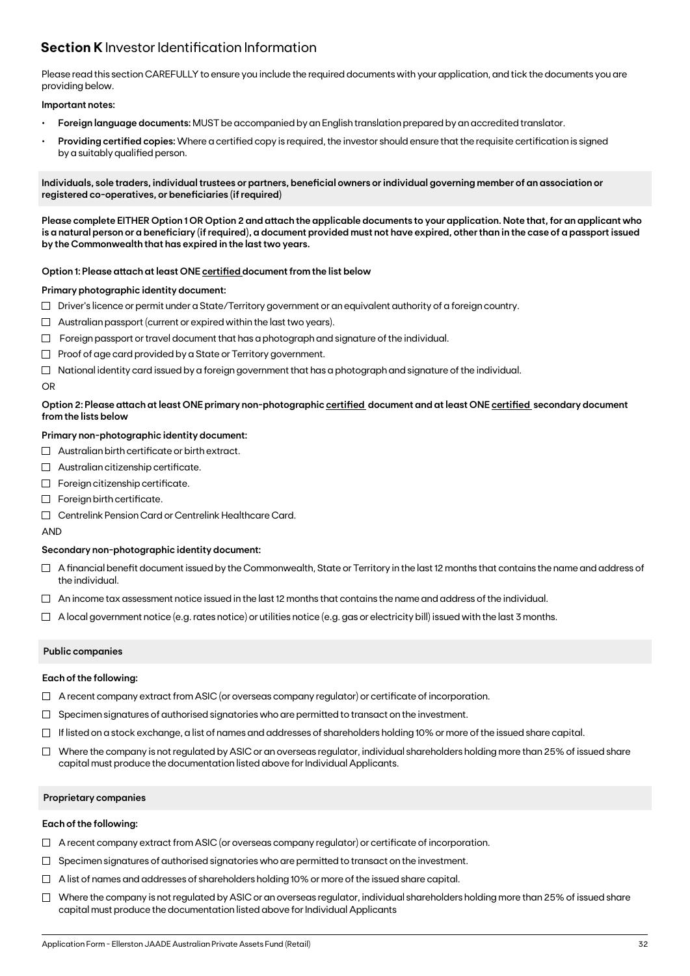## **Section K** Investor Identification Information

Please read this section CAREFULLY to ensure you include the required documents with your application, and tick the documents you are providing below.

#### **Important notes:**

- **• Foreign language documents:** MUST be accompanied by an English translation prepared by an accredited translator.
- **Providing certified copies:** Where a certified copy is required, the investor should ensure that the requisite certification is signed by a suitably qualified person.

**Individuals, sole traders, individual trustees or partners, beneficial owners or individual governing member of an association or registered co-operatives, or beneficiaries (if required)**

**Please complete EITHER Option 1 OR Option 2 and attach the applicable documents to your application. Note that, for an applicant who is a natural person or a beneficiary (if required), a document provided must not have expired, other than in the case of a passport issued by the Commonwealth that has expired in the last two years.**

#### **Option 1: Please attach at least ONE certified document from the list below**

#### **Primary photographic identity document:**

- $\Box$  Driver's licence or permit under a State/Territory government or an equivalent authority of a foreign country.
- $\Box$  Australian passport (current or expired within the last two years).
- $\Box$  Foreign passport or travel document that has a photograph and signature of the individual.
- $\Box$  Proof of age card provided by a State or Territory government.
- $\Box$  National identity card issued by a foreign government that has a photograph and signature of the individual.

#### OR

#### **Option 2: Please attach at least ONE primary non-photographic certified document and at least ONE certified secondary document from the lists below**

#### **Primary non-photographic identity document:**

- $\Box$  Australian birth certificate or birth extract.
- $\Box$  Australian citizenship certificate.
- $\Box$  Foreign citizenship certificate.
- Foreign birth certificate.
- Centrelink Pension Card or Centrelink Healthcare Card.

AND

#### **Secondary non-photographic identity document:**

- $\Box$  A financial benefit document issued by the Commonwealth, State or Territory in the last 12 months that contains the name and address of the individual.
- $\Box$  An income tax assessment notice issued in the last 12 months that contains the name and address of the individual.
- $\Box$  A local government notice (e.g. rates notice) or utilities notice (e.g. gas or electricity bill) issued with the last 3 months.

#### **Public companies**

#### **Each of the following:**

- $\Box$  A recent company extract from ASIC (or overseas company regulator) or certificate of incorporation.
- $\Box$  Specimen signatures of authorised signatories who are permitted to transact on the investment.
- $\Box$  If listed on a stock exchange, a list of names and addresses of shareholders holding 10% or more of the issued share capital.
- $\Box$  Where the company is not regulated by ASIC or an overseas regulator, individual shareholders holding more than 25% of issued share capital must produce the documentation listed above for Individual Applicants.

#### **Proprietary companies**

#### **Each of the following:**

- $\Box$  A recent company extract from ASIC (or overseas company regulator) or certificate of incorporation.
- $\Box$  Specimen signatures of authorised signatories who are permitted to transact on the investment.
- $\Box$  A list of names and addresses of shareholders holding 10% or more of the issued share capital.
- $\Box$  Where the company is not regulated by ASIC or an overseas regulator, individual shareholders holding more than 25% of issued share capital must produce the documentation listed above for Individual Applicants